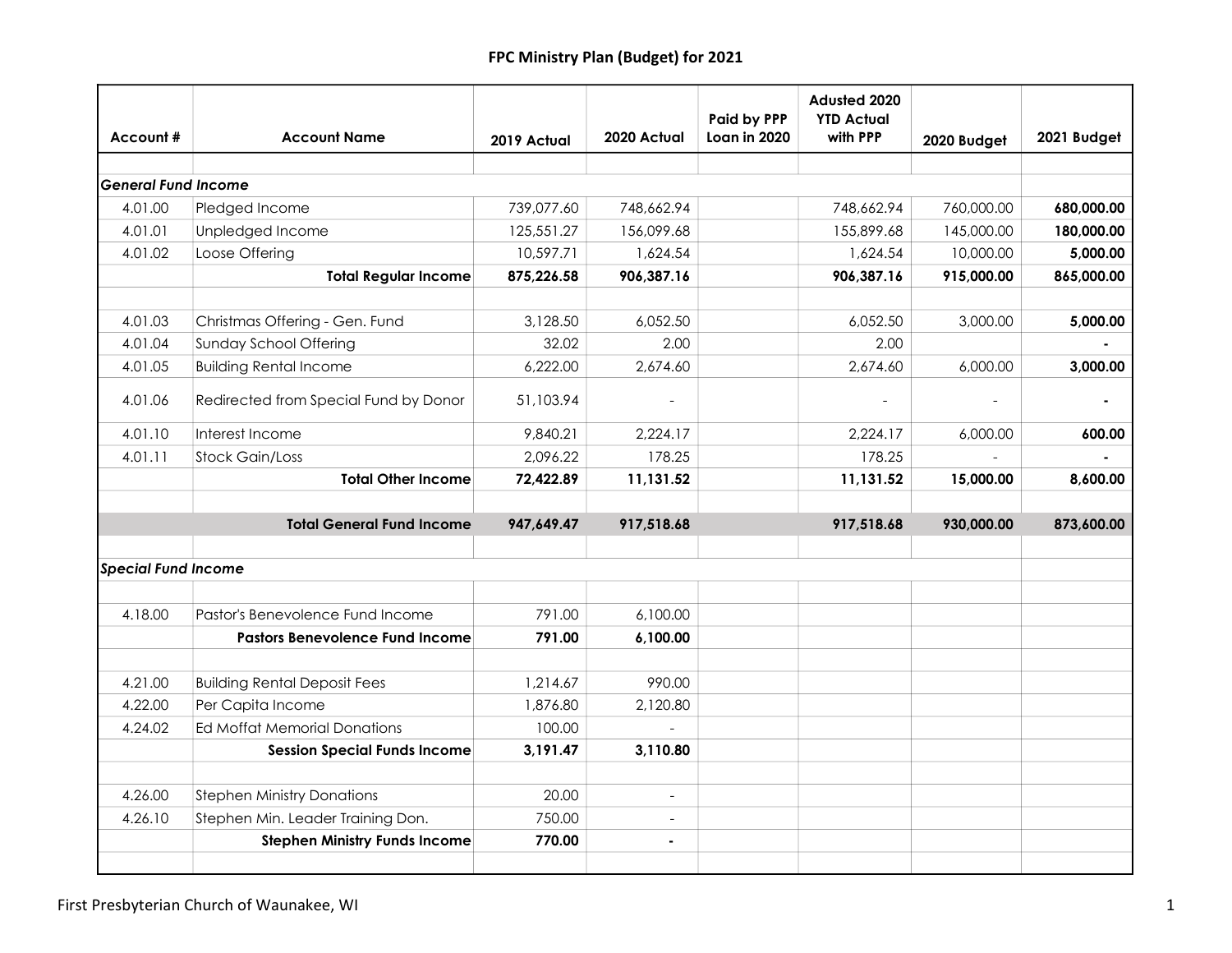| Account#                   | <b>Account Name</b>                    | 2019 Actual | 2020 Actual              | Paid by PPP<br>Loan in 2020 | Adusted 2020<br><b>YTD Actual</b><br>with PPP | 2020 Budget | 2021 Budget |
|----------------------------|----------------------------------------|-------------|--------------------------|-----------------------------|-----------------------------------------------|-------------|-------------|
|                            |                                        |             |                          |                             |                                               |             |             |
| <b>General Fund Income</b> |                                        |             |                          |                             |                                               |             |             |
| 4.01.00                    | Pledged Income                         | 739,077.60  | 748,662.94               |                             | 748,662.94                                    | 760,000.00  | 680,000.00  |
| 4.01.01                    | Unpledged Income                       | 125,551.27  | 156,099.68               |                             | 155,899.68                                    | 145,000.00  | 180,000.00  |
| 4.01.02                    | Loose Offering                         | 10,597.71   | 1,624.54                 |                             | 1,624.54                                      | 10,000.00   | 5,000.00    |
|                            | <b>Total Regular Income</b>            | 875,226.58  | 906,387.16               |                             | 906,387.16                                    | 915,000.00  | 865,000.00  |
| 4.01.03                    | Christmas Offering - Gen. Fund         | 3,128.50    | 6,052.50                 |                             | 6,052.50                                      | 3,000.00    | 5,000.00    |
| 4.01.04                    | Sunday School Offering                 | 32.02       | 2.00                     |                             | 2.00                                          |             |             |
| 4.01.05                    | <b>Building Rental Income</b>          | 6,222.00    | 2,674.60                 |                             | 2,674.60                                      | 6,000.00    | 3,000.00    |
| 4.01.06                    | Redirected from Special Fund by Donor  | 51,103.94   |                          |                             |                                               |             |             |
| 4.01.10                    | Interest Income                        | 9,840.21    | 2,224.17                 |                             | 2,224.17                                      | 6,000.00    | 600.00      |
| 4.01.11                    | <b>Stock Gain/Loss</b>                 | 2,096.22    | 178.25                   |                             | 178.25                                        |             |             |
|                            | <b>Total Other Income</b>              | 72,422.89   | 11,131.52                |                             | 11,131.52                                     | 15,000.00   | 8,600.00    |
|                            | <b>Total General Fund Income</b>       | 947,649.47  | 917,518.68               |                             | 917,518.68                                    | 930,000.00  | 873,600.00  |
| <b>Special Fund Income</b> |                                        |             |                          |                             |                                               |             |             |
|                            |                                        |             |                          |                             |                                               |             |             |
| 4.18.00                    | Pastor's Benevolence Fund Income       | 791.00      | 6,100.00                 |                             |                                               |             |             |
|                            | <b>Pastors Benevolence Fund Income</b> | 791.00      | 6,100.00                 |                             |                                               |             |             |
| 4.21.00                    | <b>Building Rental Deposit Fees</b>    | 1,214.67    | 990.00                   |                             |                                               |             |             |
| 4.22.00                    | Per Capita Income                      | 1,876.80    | 2,120.80                 |                             |                                               |             |             |
| 4.24.02                    | Ed Moffat Memorial Donations           | 100.00      |                          |                             |                                               |             |             |
|                            | <b>Session Special Funds Income</b>    | 3,191.47    | 3,110.80                 |                             |                                               |             |             |
| 4.26.00                    | <b>Stephen Ministry Donations</b>      | 20.00       | $\overline{\phantom{a}}$ |                             |                                               |             |             |
| 4.26.10                    | Stephen Min. Leader Training Don.      | 750.00      | $\blacksquare$           |                             |                                               |             |             |
|                            | <b>Stephen Ministry Funds Income</b>   | 770.00      | ä,                       |                             |                                               |             |             |
|                            |                                        |             |                          |                             |                                               |             |             |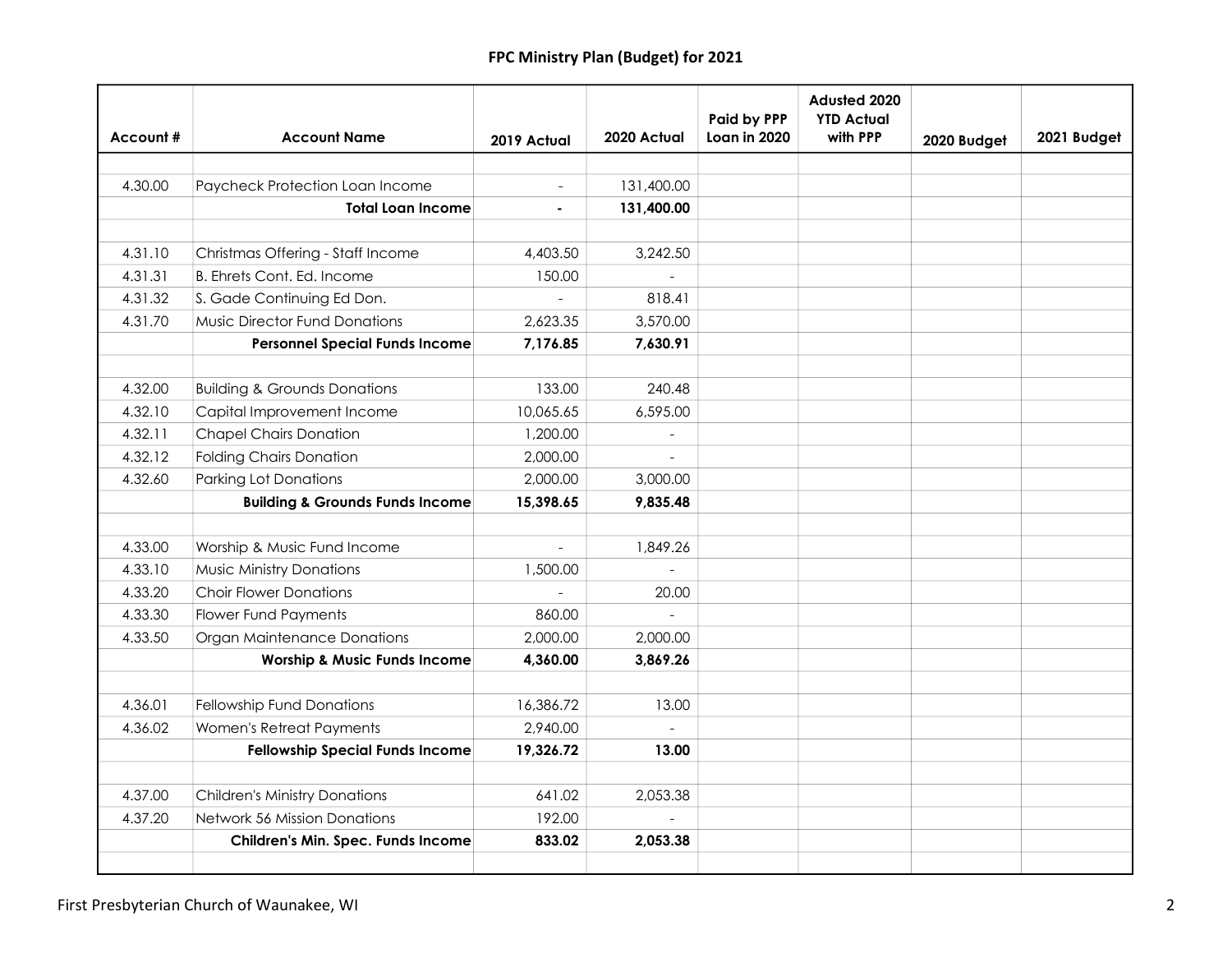|          |                                            |             |                          | Paid by PPP  | Adusted 2020<br><b>YTD Actual</b> |             |             |
|----------|--------------------------------------------|-------------|--------------------------|--------------|-----------------------------------|-------------|-------------|
| Account# | <b>Account Name</b>                        | 2019 Actual | 2020 Actual              | Loan in 2020 | with PPP                          | 2020 Budget | 2021 Budget |
|          |                                            |             |                          |              |                                   |             |             |
| 4.30.00  | Paycheck Protection Loan Income            |             | 131,400.00               |              |                                   |             |             |
|          | <b>Total Loan Income</b>                   | ä,          | 131,400.00               |              |                                   |             |             |
|          |                                            |             |                          |              |                                   |             |             |
| 4.31.10  | Christmas Offering - Staff Income          | 4,403.50    | 3,242.50                 |              |                                   |             |             |
| 4.31.31  | B. Ehrets Cont. Ed. Income                 | 150.00      | $\blacksquare$           |              |                                   |             |             |
| 4.31.32  | S. Gade Continuing Ed Don.                 |             | 818.41                   |              |                                   |             |             |
| 4.31.70  | <b>Music Director Fund Donations</b>       | 2,623.35    | 3,570.00                 |              |                                   |             |             |
|          | <b>Personnel Special Funds Income</b>      | 7,176.85    | 7,630.91                 |              |                                   |             |             |
|          |                                            |             |                          |              |                                   |             |             |
| 4.32.00  | <b>Building &amp; Grounds Donations</b>    | 133.00      | 240.48                   |              |                                   |             |             |
| 4.32.10  | Capital Improvement Income                 | 10,065.65   | 6,595.00                 |              |                                   |             |             |
| 4.32.11  | <b>Chapel Chairs Donation</b>              | 1,200.00    | $\overline{\phantom{a}}$ |              |                                   |             |             |
| 4.32.12  | <b>Folding Chairs Donation</b>             | 2,000.00    | $\equiv$                 |              |                                   |             |             |
| 4.32.60  | <b>Parking Lot Donations</b>               | 2,000.00    | 3,000.00                 |              |                                   |             |             |
|          | <b>Building &amp; Grounds Funds Income</b> | 15,398.65   | 9,835.48                 |              |                                   |             |             |
|          |                                            |             |                          |              |                                   |             |             |
| 4.33.00  | Worship & Music Fund Income                | $\equiv$    | 1,849.26                 |              |                                   |             |             |
| 4.33.10  | Music Ministry Donations                   | 1,500.00    | $\blacksquare$           |              |                                   |             |             |
| 4.33.20  | <b>Choir Flower Donations</b>              |             | 20.00                    |              |                                   |             |             |
| 4.33.30  | <b>Flower Fund Payments</b>                | 860.00      | $\blacksquare$           |              |                                   |             |             |
| 4.33.50  | Organ Maintenance Donations                | 2,000.00    | 2,000.00                 |              |                                   |             |             |
|          | <b>Worship &amp; Music Funds Income</b>    | 4,360.00    | 3,869.26                 |              |                                   |             |             |
|          |                                            |             |                          |              |                                   |             |             |
| 4.36.01  | Fellowship Fund Donations                  | 16,386.72   | 13.00                    |              |                                   |             |             |
| 4.36.02  | Women's Retreat Payments                   | 2,940.00    |                          |              |                                   |             |             |
|          | <b>Fellowship Special Funds Income</b>     | 19,326.72   | 13.00                    |              |                                   |             |             |
|          |                                            |             |                          |              |                                   |             |             |
| 4.37.00  | <b>Children's Ministry Donations</b>       | 641.02      | 2,053.38                 |              |                                   |             |             |
| 4.37.20  | <b>Network 56 Mission Donations</b>        | 192.00      |                          |              |                                   |             |             |
|          | Children's Min. Spec. Funds Income         | 833.02      | 2,053.38                 |              |                                   |             |             |
|          |                                            |             |                          |              |                                   |             |             |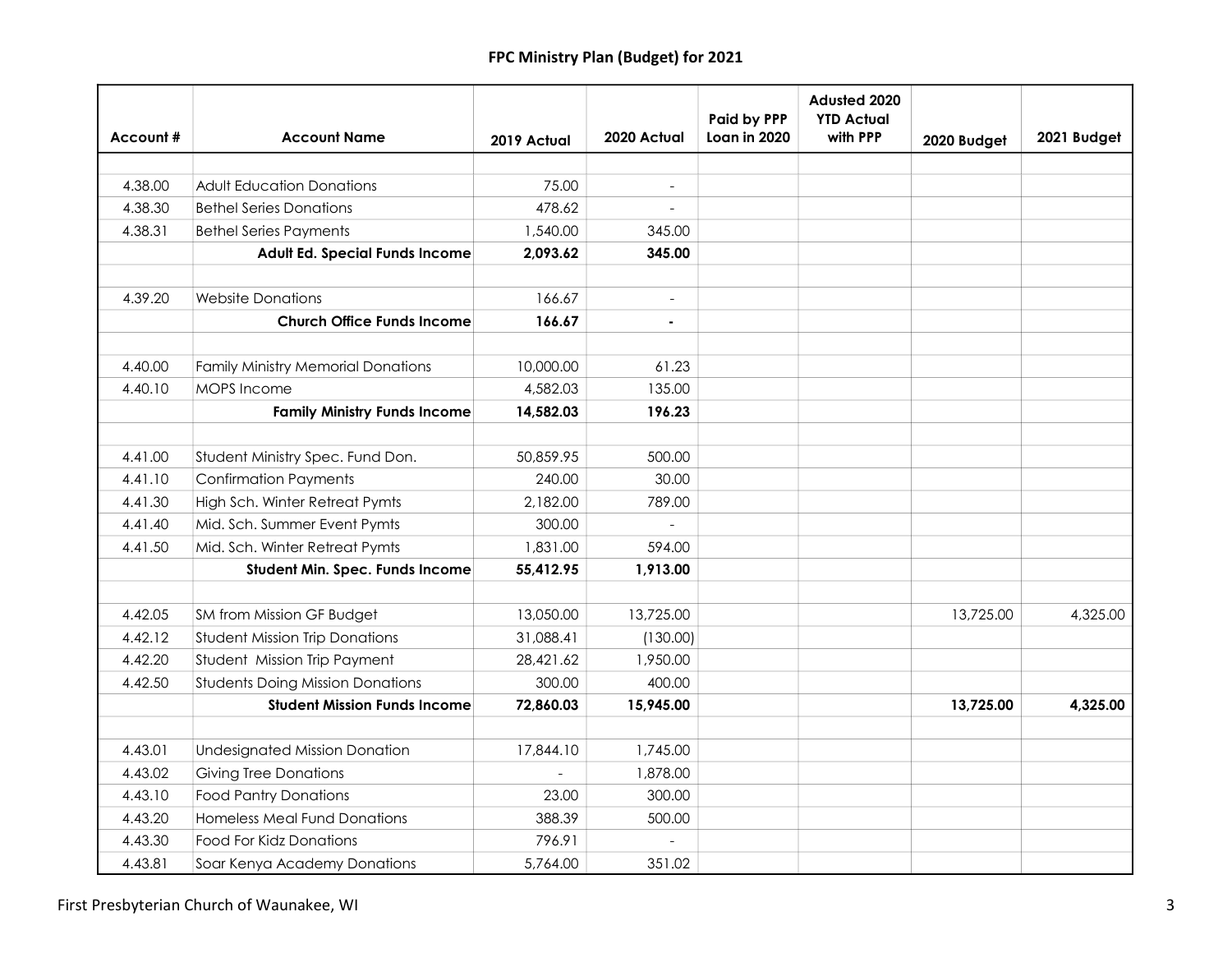|          |                                           |             |                          | <b>Paid by PPP</b> | Adusted 2020<br><b>YTD Actual</b> |             |             |
|----------|-------------------------------------------|-------------|--------------------------|--------------------|-----------------------------------|-------------|-------------|
| Account# | <b>Account Name</b>                       | 2019 Actual | 2020 Actual              | Loan in 2020       | with PPP                          | 2020 Budget | 2021 Budget |
|          |                                           |             |                          |                    |                                   |             |             |
| 4.38.00  | <b>Adult Education Donations</b>          | 75.00       | $\overline{\phantom{a}}$ |                    |                                   |             |             |
| 4.38.30  | <b>Bethel Series Donations</b>            | 478.62      |                          |                    |                                   |             |             |
| 4.38.31  | <b>Bethel Series Payments</b>             | 1,540.00    | 345.00                   |                    |                                   |             |             |
|          | Adult Ed. Special Funds Income            | 2,093.62    | 345.00                   |                    |                                   |             |             |
|          |                                           |             |                          |                    |                                   |             |             |
| 4.39.20  | <b>Website Donations</b>                  | 166.67      | $\blacksquare$           |                    |                                   |             |             |
|          | <b>Church Office Funds Income</b>         | 166.67      | $\blacksquare$           |                    |                                   |             |             |
|          |                                           |             |                          |                    |                                   |             |             |
| 4.40.00  | <b>Family Ministry Memorial Donations</b> | 10,000.00   | 61.23                    |                    |                                   |             |             |
| 4.40.10  | MOPS Income                               | 4,582.03    | 135.00                   |                    |                                   |             |             |
|          | <b>Family Ministry Funds Income</b>       | 14,582.03   | 196.23                   |                    |                                   |             |             |
|          |                                           |             |                          |                    |                                   |             |             |
| 4.41.00  | Student Ministry Spec. Fund Don.          | 50,859.95   | 500.00                   |                    |                                   |             |             |
| 4.41.10  | <b>Confirmation Payments</b>              | 240.00      | 30.00                    |                    |                                   |             |             |
| 4.41.30  | High Sch. Winter Retreat Pymts            | 2,182.00    | 789.00                   |                    |                                   |             |             |
| 4.41.40  | Mid. Sch. Summer Event Pymts              | 300.00      |                          |                    |                                   |             |             |
| 4.41.50  | Mid. Sch. Winter Retreat Pymts            | 1,831.00    | 594.00                   |                    |                                   |             |             |
|          | Student Min. Spec. Funds Income           | 55,412.95   | 1,913.00                 |                    |                                   |             |             |
|          |                                           |             |                          |                    |                                   |             |             |
| 4.42.05  | SM from Mission GF Budget                 | 13,050.00   | 13,725.00                |                    |                                   | 13,725.00   | 4,325.00    |
| 4.42.12  | <b>Student Mission Trip Donations</b>     | 31,088.41   | (130.00)                 |                    |                                   |             |             |
| 4.42.20  | Student Mission Trip Payment              | 28,421.62   | 1,950.00                 |                    |                                   |             |             |
| 4.42.50  | <b>Students Doing Mission Donations</b>   | 300.00      | 400.00                   |                    |                                   |             |             |
|          | <b>Student Mission Funds Income</b>       | 72,860.03   | 15,945.00                |                    |                                   | 13,725.00   | 4,325.00    |
|          |                                           |             |                          |                    |                                   |             |             |
| 4.43.01  | <b>Undesignated Mission Donation</b>      | 17,844.10   | 1,745.00                 |                    |                                   |             |             |
| 4.43.02  | <b>Giving Tree Donations</b>              |             | 1,878.00                 |                    |                                   |             |             |
| 4.43.10  | <b>Food Pantry Donations</b>              | 23.00       | 300.00                   |                    |                                   |             |             |
| 4.43.20  | <b>Homeless Meal Fund Donations</b>       | 388.39      | 500.00                   |                    |                                   |             |             |
| 4.43.30  | Food For Kidz Donations                   | 796.91      |                          |                    |                                   |             |             |
| 4.43.81  | Soar Kenya Academy Donations              | 5,764.00    | 351.02                   |                    |                                   |             |             |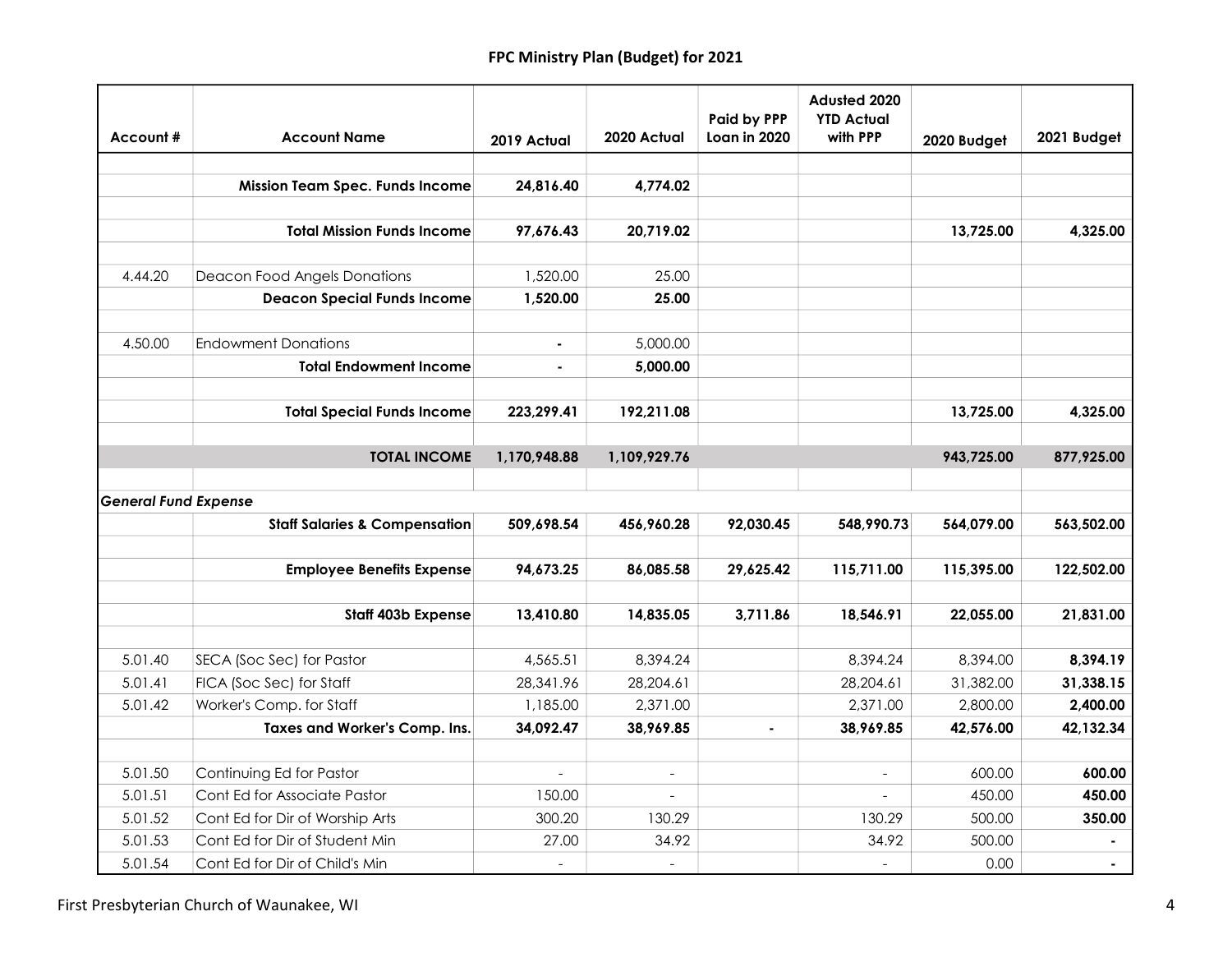|                             |                                          |                |                          | <b>Paid by PPP</b> | Adusted 2020<br><b>YTD Actual</b> |             |             |
|-----------------------------|------------------------------------------|----------------|--------------------------|--------------------|-----------------------------------|-------------|-------------|
| Account#                    | <b>Account Name</b>                      | 2019 Actual    | 2020 Actual              | Loan in 2020       | with PPP                          | 2020 Budget | 2021 Budget |
|                             |                                          |                |                          |                    |                                   |             |             |
|                             | <b>Mission Team Spec. Funds Income</b>   | 24,816.40      | 4,774.02                 |                    |                                   |             |             |
|                             |                                          |                |                          |                    |                                   |             |             |
|                             | <b>Total Mission Funds Income</b>        | 97,676.43      | 20,719.02                |                    |                                   | 13,725.00   | 4,325.00    |
| 4.44.20                     | Deacon Food Angels Donations             | 1,520.00       | 25.00                    |                    |                                   |             |             |
|                             | <b>Deacon Special Funds Income</b>       | 1,520.00       | 25.00                    |                    |                                   |             |             |
|                             |                                          |                |                          |                    |                                   |             |             |
| 4.50.00                     | <b>Endowment Donations</b>               | $\blacksquare$ | 5,000.00                 |                    |                                   |             |             |
|                             | <b>Total Endowment Income</b>            | ä,             | 5,000.00                 |                    |                                   |             |             |
|                             |                                          |                |                          |                    |                                   |             |             |
|                             | <b>Total Special Funds Income</b>        | 223,299.41     | 192,211.08               |                    |                                   | 13,725.00   | 4,325.00    |
|                             |                                          |                |                          |                    |                                   |             |             |
|                             | <b>TOTAL INCOME</b>                      | 1,170,948.88   | 1,109,929.76             |                    |                                   | 943,725.00  | 877,925.00  |
|                             |                                          |                |                          |                    |                                   |             |             |
| <b>General Fund Expense</b> |                                          |                |                          |                    |                                   |             |             |
|                             | <b>Staff Salaries &amp; Compensation</b> | 509,698.54     | 456,960.28               | 92,030.45          | 548,990.73                        | 564,079.00  | 563,502.00  |
|                             |                                          |                |                          |                    |                                   |             |             |
|                             | <b>Employee Benefits Expense</b>         | 94,673.25      | 86,085.58                | 29,625.42          | 115,711.00                        | 115,395.00  | 122,502.00  |
|                             | <b>Staff 403b Expense</b>                | 13,410.80      | 14,835.05                | 3,711.86           | 18,546.91                         | 22,055.00   | 21,831.00   |
|                             |                                          |                |                          |                    |                                   |             |             |
| 5.01.40                     | SECA (Soc Sec) for Pastor                | 4,565.51       | 8,394.24                 |                    | 8,394.24                          | 8,394.00    | 8,394.19    |
| 5.01.41                     | FICA (Soc Sec) for Staff                 | 28,341.96      | 28,204.61                |                    | 28,204.61                         | 31,382.00   | 31,338.15   |
| 5.01.42                     | Worker's Comp. for Staff                 | 1,185.00       | 2,371.00                 |                    | 2,371.00                          | 2,800.00    | 2,400.00    |
|                             | Taxes and Worker's Comp. Ins.            | 34,092.47      | 38,969.85                |                    | 38,969.85                         | 42,576.00   | 42,132.34   |
|                             |                                          |                |                          |                    |                                   |             |             |
| 5.01.50                     | Continuing Ed for Pastor                 | $\frac{1}{2}$  | $\overline{\phantom{a}}$ |                    |                                   | 600.00      | 600.00      |
| 5.01.51                     | Cont Ed for Associate Pastor             | 150.00         | $\overline{a}$           |                    | $\equiv$                          | 450.00      | 450.00      |
| 5.01.52                     | Cont Ed for Dir of Worship Arts          | 300.20         | 130.29                   |                    | 130.29                            | 500.00      | 350.00      |
| 5.01.53                     | Cont Ed for Dir of Student Min           | 27.00          | 34.92                    |                    | 34.92                             | 500.00      |             |
| 5.01.54                     | Cont Ed for Dir of Child's Min           | $\frac{1}{2}$  | $\overline{a}$           |                    |                                   | 0.00        |             |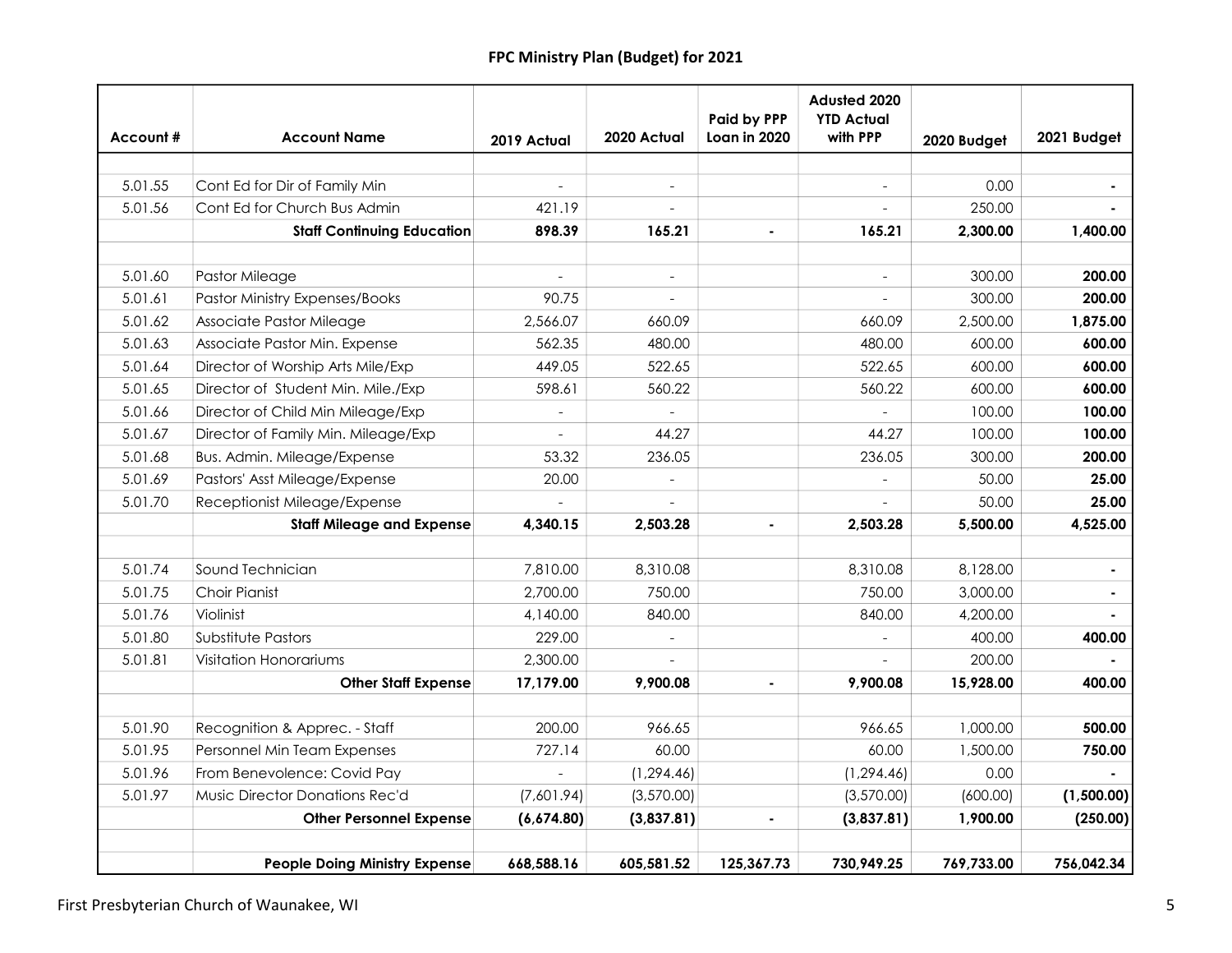| Account# | <b>Account Name</b>                   | 2019 Actual              | 2020 Actual              | <b>Paid by PPP</b><br>Loan in 2020 | Adusted 2020<br><b>YTD Actual</b><br>with PPP | 2020 Budget | 2021 Budget |
|----------|---------------------------------------|--------------------------|--------------------------|------------------------------------|-----------------------------------------------|-------------|-------------|
|          |                                       |                          |                          |                                    |                                               |             |             |
| 5.01.55  | Cont Ed for Dir of Family Min         |                          |                          |                                    |                                               | 0.00        |             |
| 5.01.56  | Cont Ed for Church Bus Admin          | 421.19                   |                          |                                    |                                               | 250.00      |             |
|          | <b>Staff Continuing Education</b>     | 898.39                   | 165.21                   |                                    | 165.21                                        | 2,300.00    | 1,400.00    |
|          |                                       |                          |                          |                                    |                                               |             |             |
| 5.01.60  | Pastor Mileage                        | $\overline{\phantom{0}}$ | $\overline{\phantom{a}}$ |                                    | $\overline{\phantom{a}}$                      | 300.00      | 200.00      |
| 5.01.61  | <b>Pastor Ministry Expenses/Books</b> | 90.75                    | $\overline{\phantom{a}}$ |                                    |                                               | 300.00      | 200.00      |
| 5.01.62  | Associate Pastor Mileage              | 2,566.07                 | 660.09                   |                                    | 660.09                                        | 2,500.00    | 1,875.00    |
| 5.01.63  | Associate Pastor Min. Expense         | 562.35                   | 480.00                   |                                    | 480.00                                        | 600.00      | 600.00      |
| 5.01.64  | Director of Worship Arts Mile/Exp     | 449.05                   | 522.65                   |                                    | 522.65                                        | 600.00      | 600.00      |
| 5.01.65  | Director of Student Min. Mile./Exp    | 598.61                   | 560.22                   |                                    | 560.22                                        | 600.00      | 600.00      |
| 5.01.66  | Director of Child Min Mileage/Exp     |                          |                          |                                    |                                               | 100.00      | 100.00      |
| 5.01.67  | Director of Family Min. Mileage/Exp   |                          | 44.27                    |                                    | 44.27                                         | 100.00      | 100.00      |
| 5.01.68  | Bus. Admin. Mileage/Expense           | 53.32                    | 236.05                   |                                    | 236.05                                        | 300.00      | 200.00      |
| 5.01.69  | Pastors' Asst Mileage/Expense         | 20.00                    |                          |                                    |                                               | 50.00       | 25.00       |
| 5.01.70  | Receptionist Mileage/Expense          |                          |                          |                                    |                                               | 50.00       | 25.00       |
|          | <b>Staff Mileage and Expense</b>      | 4,340.15                 | 2,503.28                 |                                    | 2,503.28                                      | 5,500.00    | 4,525.00    |
|          |                                       |                          |                          |                                    |                                               |             |             |
| 5.01.74  | Sound Technician                      | 7,810.00                 | 8,310.08                 |                                    | 8,310.08                                      | 8,128.00    |             |
| 5.01.75  | <b>Choir Pianist</b>                  | 2,700.00                 | 750.00                   |                                    | 750.00                                        | 3,000.00    |             |
| 5.01.76  | Violinist                             | 4,140.00                 | 840.00                   |                                    | 840.00                                        | 4,200.00    |             |
| 5.01.80  | Substitute Pastors                    | 229.00                   | $\overline{a}$           |                                    |                                               | 400.00      | 400.00      |
| 5.01.81  | Visitation Honorariums                | 2,300.00                 |                          |                                    |                                               | 200.00      |             |
|          | <b>Other Staff Expense</b>            | 17,179.00                | 9,900.08                 |                                    | 9,900.08                                      | 15,928.00   | 400.00      |
|          |                                       |                          |                          |                                    |                                               |             |             |
| 5.01.90  | Recognition & Apprec. - Staff         | 200.00                   | 966.65                   |                                    | 966.65                                        | 1,000.00    | 500.00      |
| 5.01.95  | Personnel Min Team Expenses           | 727.14                   | 60.00                    |                                    | 60.00                                         | 1,500.00    | 750.00      |
| 5.01.96  | From Benevolence: Covid Pay           |                          | (1, 294.46)              |                                    | (1, 294.46)                                   | 0.00        |             |
| 5.01.97  | Music Director Donations Rec'd        | (7,601.94)               | (3,570.00)               |                                    | (3,570.00)                                    | (600.00)    | (1,500.00)  |
|          | <b>Other Personnel Expense</b>        | (6,674.80)               | (3,837.81)               |                                    | (3,837.81)                                    | 1,900.00    | (250.00)    |
|          | <b>People Doing Ministry Expense</b>  | 668,588.16               | 605,581.52               | 125,367.73                         | 730,949.25                                    | 769,733.00  | 756,042.34  |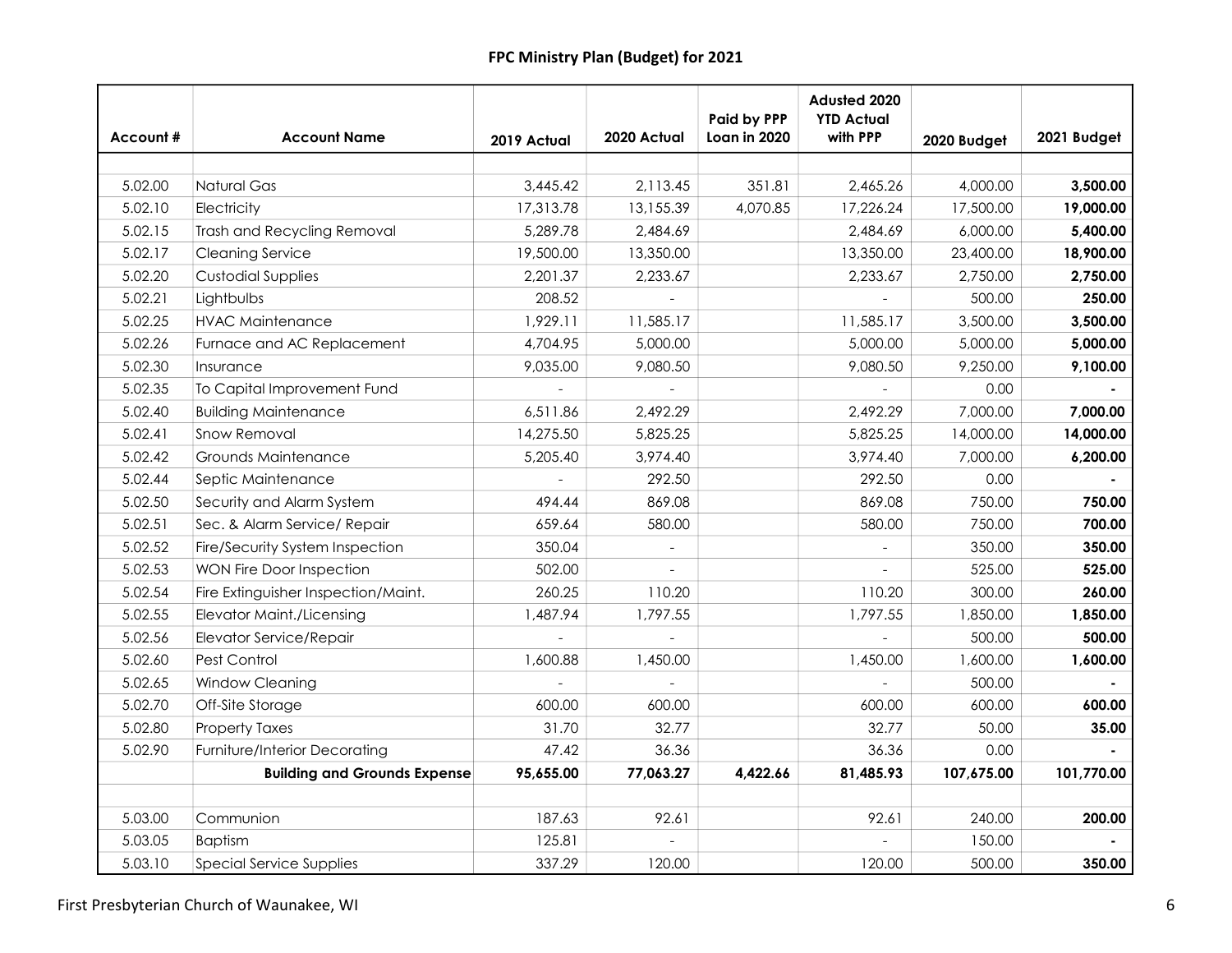| Account# | <b>Account Name</b>                 | 2019 Actual | 2020 Actual    | Paid by PPP<br>Loan in 2020 | Adusted 2020<br><b>YTD Actual</b><br>with PPP | 2020 Budget | 2021 Budget |
|----------|-------------------------------------|-------------|----------------|-----------------------------|-----------------------------------------------|-------------|-------------|
|          |                                     |             |                |                             |                                               |             |             |
| 5.02.00  | <b>Natural Gas</b>                  | 3,445.42    | 2,113.45       | 351.81                      | 2,465.26                                      | 4,000.00    | 3,500.00    |
| 5.02.10  | Electricity                         | 17,313.78   | 13,155.39      | 4,070.85                    | 17,226.24                                     | 17,500.00   | 19,000.00   |
| 5.02.15  | <b>Trash and Recycling Removal</b>  | 5,289.78    | 2,484.69       |                             | 2,484.69                                      | 6,000.00    | 5,400.00    |
| 5.02.17  | <b>Cleaning Service</b>             | 19,500.00   | 13,350.00      |                             | 13,350.00                                     | 23,400.00   | 18,900.00   |
| 5.02.20  | <b>Custodial Supplies</b>           | 2,201.37    | 2,233.67       |                             | 2,233.67                                      | 2,750.00    | 2,750.00    |
| 5.02.21  | Lightbulbs                          | 208.52      |                |                             |                                               | 500.00      | 250.00      |
| 5.02.25  | <b>HVAC Maintenance</b>             | 1,929.11    | 11,585.17      |                             | 11,585.17                                     | 3,500.00    | 3,500.00    |
| 5.02.26  | Furnace and AC Replacement          | 4,704.95    | 5,000.00       |                             | 5,000.00                                      | 5,000.00    | 5,000.00    |
| 5.02.30  | Insurance                           | 9,035.00    | 9,080.50       |                             | 9,080.50                                      | 9,250.00    | 9,100.00    |
| 5.02.35  | To Capital Improvement Fund         |             |                |                             |                                               | 0.00        |             |
| 5.02.40  | <b>Building Maintenance</b>         | 6,511.86    | 2,492.29       |                             | 2,492.29                                      | 7,000.00    | 7,000.00    |
| 5.02.41  | Snow Removal                        | 14,275.50   | 5,825.25       |                             | 5,825.25                                      | 14,000.00   | 14,000.00   |
| 5.02.42  | Grounds Maintenance                 | 5,205.40    | 3,974.40       |                             | 3,974.40                                      | 7,000.00    | 6,200.00    |
| 5.02.44  | Septic Maintenance                  |             | 292.50         |                             | 292.50                                        | 0.00        |             |
| 5.02.50  | Security and Alarm System           | 494.44      | 869.08         |                             | 869.08                                        | 750.00      | 750.00      |
| 5.02.51  | Sec. & Alarm Service/ Repair        | 659.64      | 580.00         |                             | 580.00                                        | 750.00      | 700.00      |
| 5.02.52  | Fire/Security System Inspection     | 350.04      |                |                             |                                               | 350.00      | 350.00      |
| 5.02.53  | WON Fire Door Inspection            | 502.00      |                |                             |                                               | 525.00      | 525.00      |
| 5.02.54  | Fire Extinguisher Inspection/Maint. | 260.25      | 110.20         |                             | 110.20                                        | 300.00      | 260.00      |
| 5.02.55  | <b>Elevator Maint./Licensing</b>    | 1,487.94    | 1,797.55       |                             | 1,797.55                                      | 1,850.00    | 1,850.00    |
| 5.02.56  | Elevator Service/Repair             |             | $\overline{a}$ |                             |                                               | 500.00      | 500.00      |
| 5.02.60  | Pest Control                        | 1,600.88    | 1,450.00       |                             | 1,450.00                                      | 1,600.00    | 1,600.00    |
| 5.02.65  | Window Cleaning                     |             |                |                             |                                               | 500.00      |             |
| 5.02.70  | Off-Site Storage                    | 600.00      | 600.00         |                             | 600.00                                        | 600.00      | 600.00      |
| 5.02.80  | <b>Property Taxes</b>               | 31.70       | 32.77          |                             | 32.77                                         | 50.00       | 35.00       |
| 5.02.90  | Furniture/Interior Decorating       | 47.42       | 36.36          |                             | 36.36                                         | 0.00        |             |
|          | <b>Building and Grounds Expense</b> | 95,655.00   | 77,063.27      | 4,422.66                    | 81,485.93                                     | 107,675.00  | 101,770.00  |
|          |                                     |             |                |                             |                                               |             |             |
| 5.03.00  | Communion                           | 187.63      | 92.61          |                             | 92.61                                         | 240.00      | 200.00      |
| 5.03.05  | <b>Baptism</b>                      | 125.81      |                |                             |                                               | 150.00      |             |
| 5.03.10  | Special Service Supplies            | 337.29      | 120.00         |                             | 120.00                                        | 500.00      | 350.00      |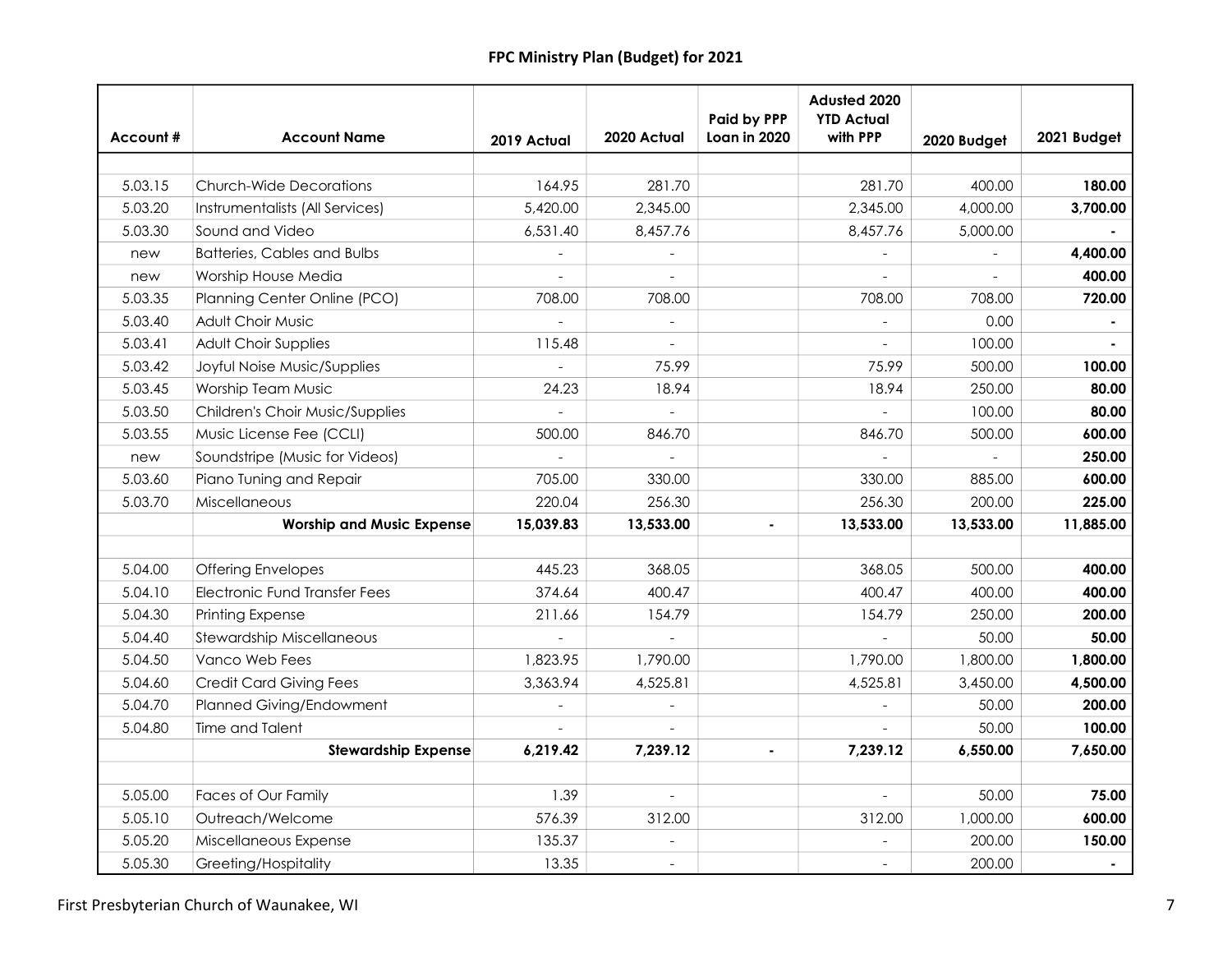| Account# | <b>Account Name</b>                | 2019 Actual   | 2020 Actual              | Paid by PPP<br>Loan in 2020 | Adusted 2020<br><b>YTD Actual</b><br>with PPP | 2020 Budget | 2021 Budget |
|----------|------------------------------------|---------------|--------------------------|-----------------------------|-----------------------------------------------|-------------|-------------|
|          |                                    |               |                          |                             |                                               |             |             |
| 5.03.15  | <b>Church-Wide Decorations</b>     | 164.95        | 281.70                   |                             | 281.70                                        | 400.00      | 180.00      |
| 5.03.20  | Instrumentalists (All Services)    | 5,420.00      | 2,345.00                 |                             | 2,345.00                                      | 4,000.00    | 3,700.00    |
| 5.03.30  | Sound and Video                    | 6,531.40      | 8,457.76                 |                             | 8,457.76                                      | 5,000.00    |             |
| new      | <b>Batteries, Cables and Bulbs</b> |               |                          |                             |                                               |             | 4,400.00    |
| new      | Worship House Media                | $\frac{1}{2}$ | $\overline{a}$           |                             |                                               |             | 400.00      |
| 5.03.35  | Planning Center Online (PCO)       | 708.00        | 708.00                   |                             | 708.00                                        | 708.00      | 720.00      |
| 5.03.40  | <b>Adult Choir Music</b>           |               | $\overline{a}$           |                             |                                               | 0.00        |             |
| 5.03.41  | Adult Choir Supplies               | 115.48        | $\overline{a}$           |                             |                                               | 100.00      |             |
| 5.03.42  | Joyful Noise Music/Supplies        |               | 75.99                    |                             | 75.99                                         | 500.00      | 100.00      |
| 5.03.45  | <b>Worship Team Music</b>          | 24.23         | 18.94                    |                             | 18.94                                         | 250.00      | 80.00       |
| 5.03.50  | Children's Choir Music/Supplies    |               |                          |                             |                                               | 100.00      | 80.00       |
| 5.03.55  | Music License Fee (CCLI)           | 500.00        | 846.70                   |                             | 846.70                                        | 500.00      | 600.00      |
| new      | Soundstripe (Music for Videos)     |               |                          |                             |                                               |             | 250.00      |
| 5.03.60  | Piano Tuning and Repair            | 705.00        | 330.00                   |                             | 330.00                                        | 885.00      | 600.00      |
| 5.03.70  | Miscellaneous                      | 220.04        | 256.30                   |                             | 256.30                                        | 200.00      | 225.00      |
|          | <b>Worship and Music Expense</b>   | 15,039.83     | 13,533.00                |                             | 13,533.00                                     | 13,533.00   | 11,885.00   |
|          |                                    |               |                          |                             |                                               |             |             |
| 5.04.00  | <b>Offering Envelopes</b>          | 445.23        | 368.05                   |                             | 368.05                                        | 500.00      | 400.00      |
| 5.04.10  | Electronic Fund Transfer Fees      | 374.64        | 400.47                   |                             | 400.47                                        | 400.00      | 400.00      |
| 5.04.30  | Printing Expense                   | 211.66        | 154.79                   |                             | 154.79                                        | 250.00      | 200.00      |
| 5.04.40  | <b>Stewardship Miscellaneous</b>   |               | $\overline{\phantom{a}}$ |                             |                                               | 50.00       | 50.00       |
| 5.04.50  | Vanco Web Fees                     | 1,823.95      | 1,790.00                 |                             | 1,790.00                                      | 1,800.00    | 1,800.00    |
| 5.04.60  | <b>Credit Card Giving Fees</b>     | 3,363.94      | 4,525.81                 |                             | 4,525.81                                      | 3,450.00    | 4,500.00    |
| 5.04.70  | Planned Giving/Endowment           |               |                          |                             |                                               | 50.00       | 200.00      |
| 5.04.80  | Time and Talent                    |               |                          |                             |                                               | 50.00       | 100.00      |
|          | <b>Stewardship Expense</b>         | 6,219.42      | 7,239.12                 |                             | 7,239.12                                      | 6,550.00    | 7,650.00    |
| 5.05.00  |                                    | 1.39          |                          |                             |                                               | 50.00       | 75.00       |
|          | Faces of Our Family                |               | $\overline{\phantom{a}}$ |                             |                                               |             |             |
| 5.05.10  | Outreach/Welcome                   | 576.39        | 312.00                   |                             | 312.00                                        | 1,000.00    | 600.00      |
| 5.05.20  | Miscellaneous Expense              | 135.37        | $\overline{a}$           |                             |                                               | 200.00      | 150.00      |
| 5.05.30  | Greeting/Hospitality               | 13.35         | $\overline{a}$           |                             |                                               | 200.00      |             |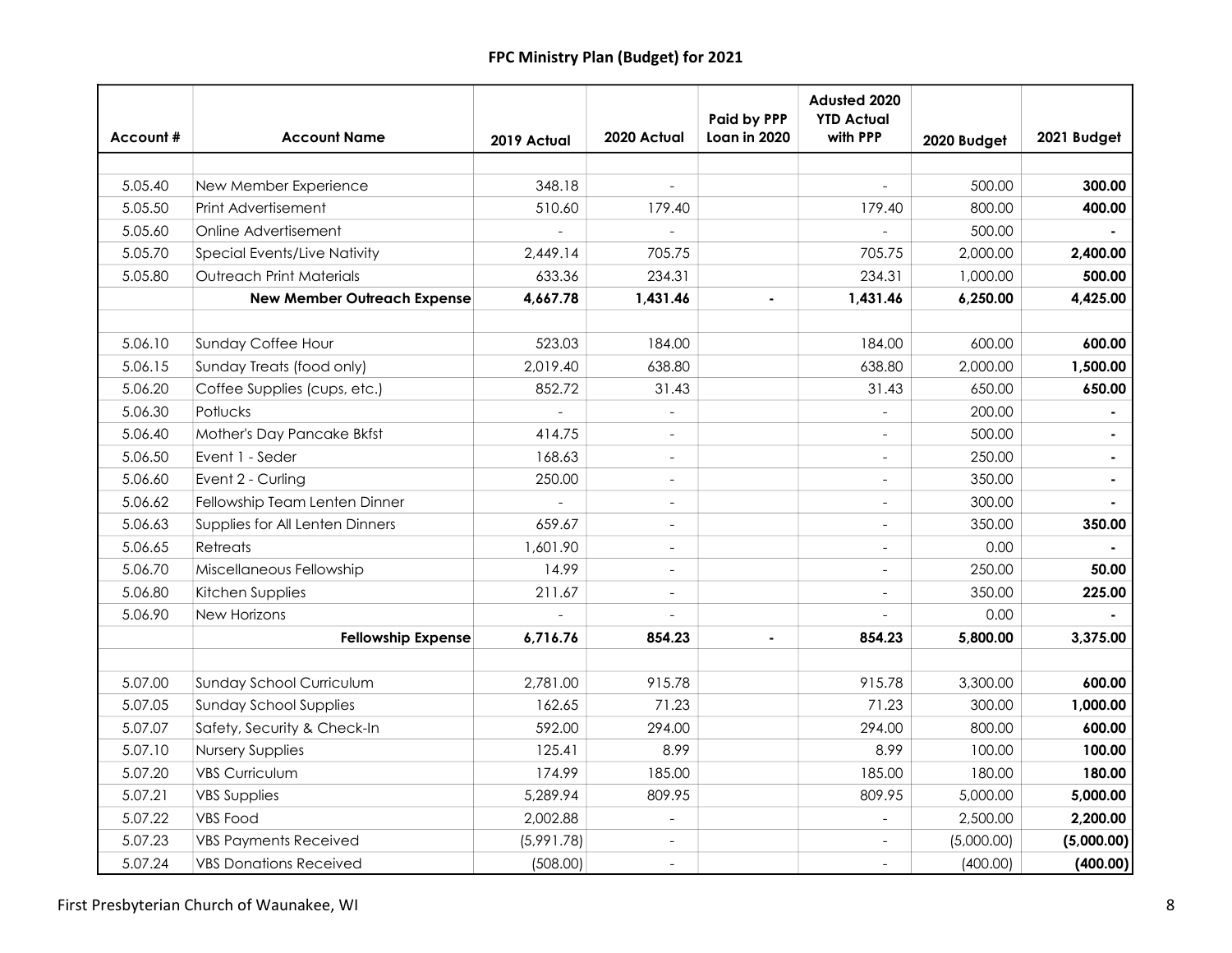|          |                                    |             |                          | <b>Paid by PPP</b> | Adusted 2020<br><b>YTD Actual</b> |             |                |
|----------|------------------------------------|-------------|--------------------------|--------------------|-----------------------------------|-------------|----------------|
| Account# | <b>Account Name</b>                | 2019 Actual | 2020 Actual              | Loan in 2020       | with PPP                          | 2020 Budget | 2021 Budget    |
|          |                                    |             |                          |                    |                                   |             |                |
| 5.05.40  | New Member Experience              | 348.18      |                          |                    |                                   | 500.00      | 300.00         |
| 5.05.50  | Print Advertisement                | 510.60      | 179.40                   |                    | 179.40                            | 800.00      | 400.00         |
| 5.05.60  | Online Advertisement               |             |                          |                    |                                   | 500.00      |                |
| 5.05.70  | Special Events/Live Nativity       | 2,449.14    | 705.75                   |                    | 705.75                            | 2,000.00    | 2,400.00       |
| 5.05.80  | <b>Outreach Print Materials</b>    | 633.36      | 234.31                   |                    | 234.31                            | 1,000.00    | 500.00         |
|          | <b>New Member Outreach Expense</b> | 4,667.78    | 1,431.46                 |                    | 1,431.46                          | 6,250.00    | 4,425.00       |
| 5.06.10  | <b>Sunday Coffee Hour</b>          | 523.03      | 184.00                   |                    | 184.00                            | 600.00      | 600.00         |
| 5.06.15  | Sunday Treats (food only)          | 2,019.40    | 638.80                   |                    | 638.80                            | 2,000.00    | 1,500.00       |
| 5.06.20  | Coffee Supplies (cups, etc.)       | 852.72      | 31.43                    |                    | 31.43                             | 650.00      | 650.00         |
| 5.06.30  | Potlucks                           |             |                          |                    |                                   | 200.00      |                |
| 5.06.40  | Mother's Day Pancake Bkfst         | 414.75      | $\overline{\phantom{0}}$ |                    |                                   | 500.00      |                |
| 5.06.50  | Event 1 - Seder                    | 168.63      | $\overline{a}$           |                    |                                   | 250.00      | ٠              |
| 5.06.60  | Event 2 - Curling                  | 250.00      | $\overline{a}$           |                    |                                   | 350.00      | $\blacksquare$ |
| 5.06.62  | Fellowship Team Lenten Dinner      |             | $\overline{\phantom{a}}$ |                    |                                   | 300.00      |                |
| 5.06.63  | Supplies for All Lenten Dinners    | 659.67      | $\overline{\phantom{0}}$ |                    | $\overline{\phantom{a}}$          | 350.00      | 350.00         |
| 5.06.65  | Retreats                           | 1,601.90    | $\overline{\phantom{0}}$ |                    |                                   | 0.00        |                |
| 5.06.70  | Miscellaneous Fellowship           | 14.99       | $\overline{a}$           |                    |                                   | 250.00      | 50.00          |
| 5.06.80  | Kitchen Supplies                   | 211.67      | $\overline{a}$           |                    |                                   | 350.00      | 225.00         |
| 5.06.90  | New Horizons                       |             |                          |                    |                                   | 0.00        |                |
|          | <b>Fellowship Expense</b>          | 6,716.76    | 854.23                   |                    | 854.23                            | 5,800.00    | 3,375.00       |
|          |                                    |             |                          |                    |                                   |             |                |
| 5.07.00  | Sunday School Curriculum           | 2,781.00    | 915.78                   |                    | 915.78                            | 3,300.00    | 600.00         |
| 5.07.05  | <b>Sunday School Supplies</b>      | 162.65      | 71.23                    |                    | 71.23                             | 300.00      | 1,000.00       |
| 5.07.07  | Safety, Security & Check-In        | 592.00      | 294.00                   |                    | 294.00                            | 800.00      | 600.00         |
| 5.07.10  | <b>Nursery Supplies</b>            | 125.41      | 8.99                     |                    | 8.99                              | 100.00      | 100.00         |
| 5.07.20  | <b>VBS Curriculum</b>              | 174.99      | 185.00                   |                    | 185.00                            | 180.00      | 180.00         |
| 5.07.21  | <b>VBS Supplies</b>                | 5,289.94    | 809.95                   |                    | 809.95                            | 5,000.00    | 5,000.00       |
| 5.07.22  | <b>VBS Food</b>                    | 2,002.88    | $\overline{\phantom{a}}$ |                    |                                   | 2,500.00    | 2,200.00       |
| 5.07.23  | <b>VBS Payments Received</b>       | (5,991.78)  | $\overline{\phantom{0}}$ |                    |                                   | (5,000.00)  | (5,000.00)     |
| 5.07.24  | <b>VBS Donations Received</b>      | (508.00)    | $\blacksquare$           |                    |                                   | (400.00)    | (400.00)       |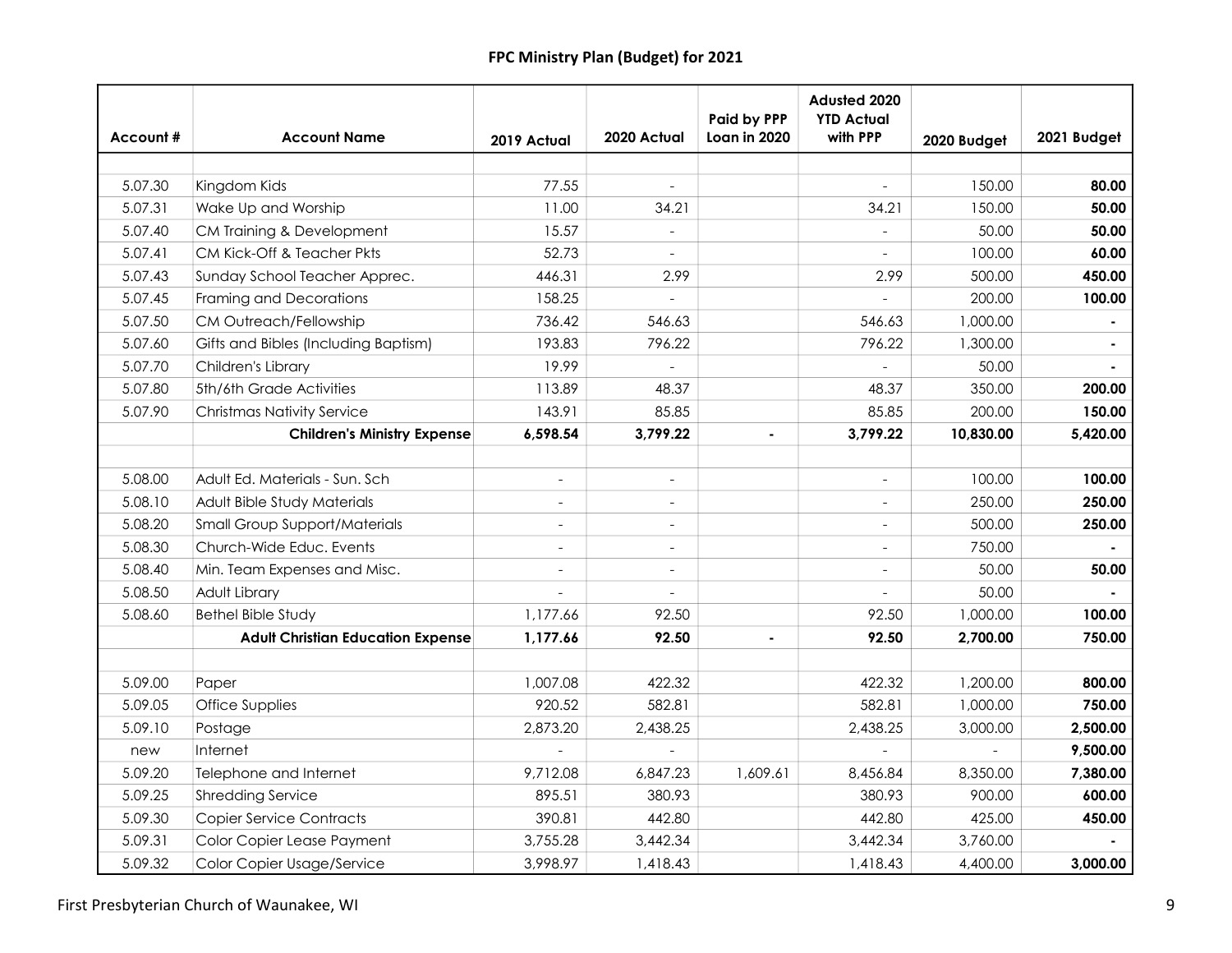|          |                                          |                          |                          | <b>Paid by PPP</b> | Adusted 2020<br><b>YTD Actual</b><br>with PPP |             |             |
|----------|------------------------------------------|--------------------------|--------------------------|--------------------|-----------------------------------------------|-------------|-------------|
| Account# | <b>Account Name</b>                      | 2019 Actual              | 2020 Actual              | Loan in 2020       |                                               | 2020 Budget | 2021 Budget |
|          |                                          |                          |                          |                    |                                               |             |             |
| 5.07.30  | Kingdom Kids                             | 77.55                    |                          |                    |                                               | 150.00      | 80.00       |
| 5.07.31  | Wake Up and Worship                      | 11.00                    | 34.21                    |                    | 34.21                                         | 150.00      | 50.00       |
| 5.07.40  | CM Training & Development                | 15.57                    |                          |                    |                                               | 50.00       | 50.00       |
| 5.07.41  | CM Kick-Off & Teacher Pkts               | 52.73                    |                          |                    |                                               | 100.00      | 60.00       |
| 5.07.43  | Sunday School Teacher Apprec.            | 446.31                   | 2.99                     |                    | 2.99                                          | 500.00      | 450.00      |
| 5.07.45  | Framing and Decorations                  | 158.25                   | $\overline{a}$           |                    |                                               | 200.00      | 100.00      |
| 5.07.50  | CM Outreach/Fellowship                   | 736.42                   | 546.63                   |                    | 546.63                                        | 1,000.00    |             |
| 5.07.60  | Gifts and Bibles (Including Baptism)     | 193.83                   | 796.22                   |                    | 796.22                                        | 1,300.00    |             |
| 5.07.70  | Children's Library                       | 19.99                    |                          |                    |                                               | 50.00       |             |
| 5.07.80  | 5th/6th Grade Activities                 | 113.89                   | 48.37                    |                    | 48.37                                         | 350.00      | 200.00      |
| 5.07.90  | <b>Christmas Nativity Service</b>        | 143.91                   | 85.85                    |                    | 85.85                                         | 200.00      | 150.00      |
|          | <b>Children's Ministry Expense</b>       | 6,598.54                 | 3,799.22                 |                    | 3,799.22                                      | 10,830.00   | 5,420.00    |
|          |                                          |                          |                          |                    |                                               |             |             |
| 5.08.00  | Adult Ed. Materials - Sun. Sch           | $\overline{a}$           | $\overline{\phantom{a}}$ |                    | $\overline{a}$                                | 100.00      | 100.00      |
| 5.08.10  | Adult Bible Study Materials              |                          |                          |                    |                                               | 250.00      | 250.00      |
| 5.08.20  | <b>Small Group Support/Materials</b>     | $\blacksquare$           | $\frac{1}{2}$            |                    |                                               | 500.00      | 250.00      |
| 5.08.30  | Church-Wide Educ. Events                 | $\overline{\phantom{a}}$ | $\overline{\phantom{0}}$ |                    |                                               | 750.00      |             |
| 5.08.40  | Min. Team Expenses and Misc.             |                          | $\overline{a}$           |                    |                                               | 50.00       | 50.00       |
| 5.08.50  | Adult Library                            |                          |                          |                    |                                               | 50.00       |             |
| 5.08.60  | <b>Bethel Bible Study</b>                | 1,177.66                 | 92.50                    |                    | 92.50                                         | 1,000.00    | 100.00      |
|          | <b>Adult Christian Education Expense</b> | 1,177.66                 | 92.50                    |                    | 92.50                                         | 2,700.00    | 750.00      |
|          |                                          |                          |                          |                    |                                               |             |             |
| 5.09.00  | Paper                                    | 1,007.08                 | 422.32                   |                    | 422.32                                        | 1,200.00    | 800.00      |
| 5.09.05  | Office Supplies                          | 920.52                   | 582.81                   |                    | 582.81                                        | 1,000.00    | 750.00      |
| 5.09.10  | Postage                                  | 2,873.20                 | 2,438.25                 |                    | 2,438.25                                      | 3,000.00    | 2,500.00    |
| new      | Internet                                 |                          |                          |                    |                                               |             | 9,500.00    |
| 5.09.20  | Telephone and Internet                   | 9,712.08                 | 6,847.23                 | 1,609.61           | 8,456.84                                      | 8,350.00    | 7,380.00    |
| 5.09.25  | <b>Shredding Service</b>                 | 895.51                   | 380.93                   |                    | 380.93                                        | 900.00      | 600.00      |
| 5.09.30  | <b>Copier Service Contracts</b>          | 390.81                   | 442.80                   |                    | 442.80                                        | 425.00      | 450.00      |
| 5.09.31  | Color Copier Lease Payment               | 3,755.28                 | 3,442.34                 |                    | 3,442.34                                      | 3,760.00    |             |
| 5.09.32  | Color Copier Usage/Service               | 3,998.97                 | 1,418.43                 |                    | 1,418.43                                      | 4,400.00    | 3,000.00    |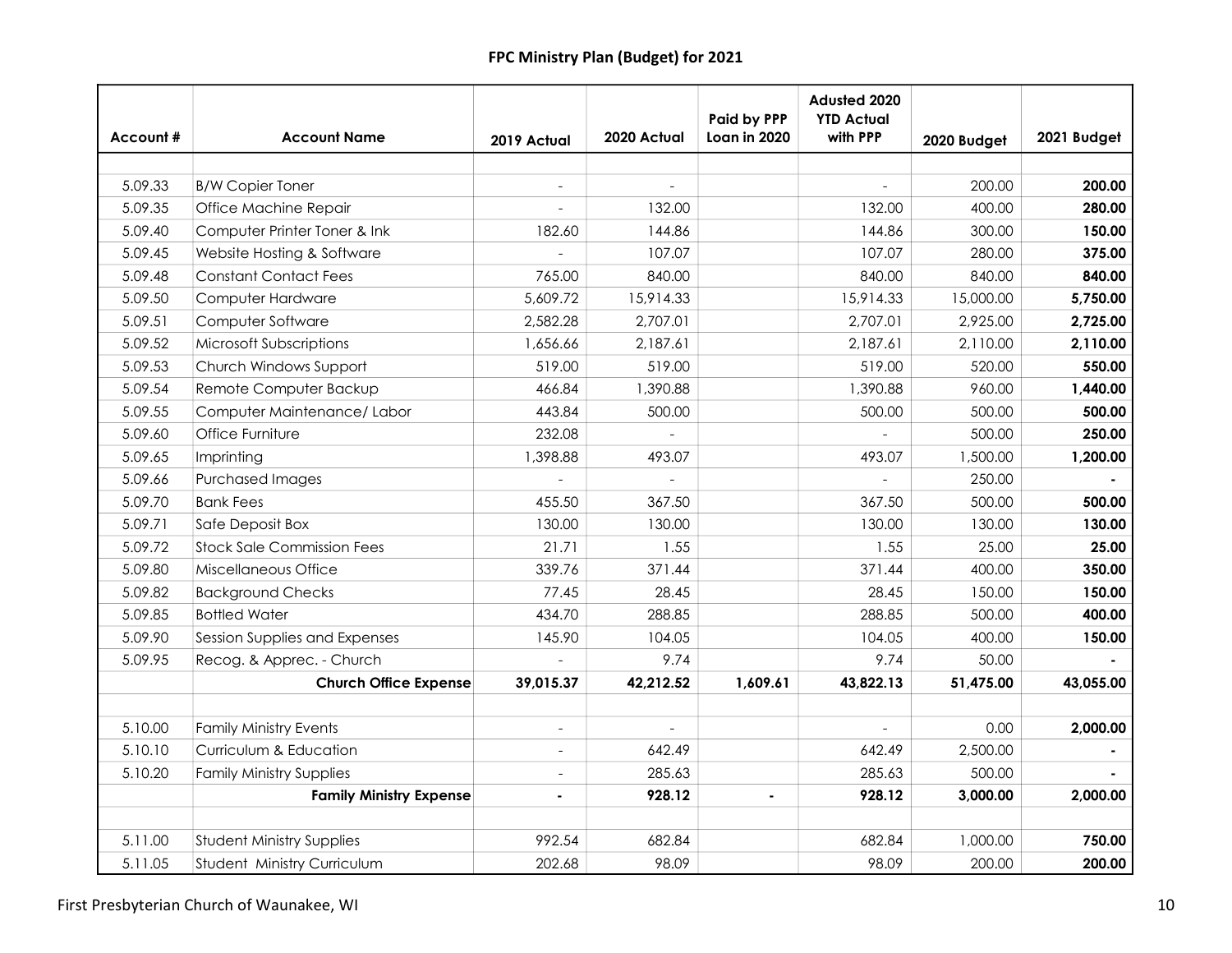|          |                                   |                |             | Paid by PPP    | Adusted 2020<br><b>YTD Actual</b> |             |             |
|----------|-----------------------------------|----------------|-------------|----------------|-----------------------------------|-------------|-------------|
| Account# | <b>Account Name</b>               | 2019 Actual    | 2020 Actual | Loan in 2020   | with PPP                          | 2020 Budget | 2021 Budget |
|          |                                   |                |             |                |                                   |             |             |
| 5.09.33  | <b>B/W Copier Toner</b>           |                |             |                |                                   | 200.00      | 200.00      |
| 5.09.35  | Office Machine Repair             |                | 132.00      |                | 132.00                            | 400.00      | 280.00      |
| 5.09.40  | Computer Printer Toner & Ink      | 182.60         | 144.86      |                | 144.86                            | 300.00      | 150.00      |
| 5.09.45  | Website Hosting & Software        |                | 107.07      |                | 107.07                            | 280.00      | 375.00      |
| 5.09.48  | <b>Constant Contact Fees</b>      | 765.00         | 840.00      |                | 840.00                            | 840.00      | 840.00      |
| 5.09.50  | Computer Hardware                 | 5,609.72       | 15,914.33   |                | 15,914.33                         | 15,000.00   | 5,750.00    |
| 5.09.51  | Computer Software                 | 2,582.28       | 2,707.01    |                | 2,707.01                          | 2,925.00    | 2,725.00    |
| 5.09.52  | Microsoft Subscriptions           | 1,656.66       | 2,187.61    |                | 2,187.61                          | 2,110.00    | 2,110.00    |
| 5.09.53  | Church Windows Support            | 519.00         | 519.00      |                | 519.00                            | 520.00      | 550.00      |
| 5.09.54  | Remote Computer Backup            | 466.84         | 1,390.88    |                | 1,390.88                          | 960.00      | 1,440.00    |
| 5.09.55  | Computer Maintenance/ Labor       | 443.84         | 500.00      |                | 500.00                            | 500.00      | 500.00      |
| 5.09.60  | Office Furniture                  | 232.08         |             |                |                                   | 500.00      | 250.00      |
| 5.09.65  | Imprinting                        | 1,398.88       | 493.07      |                | 493.07                            | 1,500.00    | 1,200.00    |
| 5.09.66  | <b>Purchased Images</b>           |                |             |                |                                   | 250.00      |             |
| 5.09.70  | <b>Bank Fees</b>                  | 455.50         | 367.50      |                | 367.50                            | 500.00      | 500.00      |
| 5.09.71  | Safe Deposit Box                  | 130.00         | 130.00      |                | 130.00                            | 130.00      | 130.00      |
| 5.09.72  | <b>Stock Sale Commission Fees</b> | 21.71          | 1.55        |                | 1.55                              | 25.00       | 25.00       |
| 5.09.80  | Miscellaneous Office              | 339.76         | 371.44      |                | 371.44                            | 400.00      | 350.00      |
| 5.09.82  | <b>Background Checks</b>          | 77.45          | 28.45       |                | 28.45                             | 150.00      | 150.00      |
| 5.09.85  | <b>Bottled Water</b>              | 434.70         | 288.85      |                | 288.85                            | 500.00      | 400.00      |
| 5.09.90  | Session Supplies and Expenses     | 145.90         | 104.05      |                | 104.05                            | 400.00      | 150.00      |
| 5.09.95  | Recog. & Apprec. - Church         |                | 9.74        |                | 9.74                              | 50.00       |             |
|          | <b>Church Office Expense</b>      | 39,015.37      | 42,212.52   | 1,609.61       | 43,822.13                         | 51,475.00   | 43,055.00   |
|          |                                   |                |             |                |                                   |             |             |
| 5.10.00  | <b>Family Ministry Events</b>     | $\overline{a}$ |             |                |                                   | 0.00        | 2,000.00    |
| 5.10.10  | Curriculum & Education            |                | 642.49      |                | 642.49                            | 2,500.00    |             |
| 5.10.20  | <b>Family Ministry Supplies</b>   | $\overline{a}$ | 285.63      |                | 285.63                            | 500.00      |             |
|          | <b>Family Ministry Expense</b>    | $\blacksquare$ | 928.12      | $\blacksquare$ | 928.12                            | 3,000.00    | 2,000.00    |
| 5.11.00  | <b>Student Ministry Supplies</b>  | 992.54         | 682.84      |                | 682.84                            | 1,000.00    | 750.00      |
|          |                                   |                |             |                |                                   |             |             |
| 5.11.05  | Student Ministry Curriculum       | 202.68         | 98.09       |                | 98.09                             | 200.00      | 200.00      |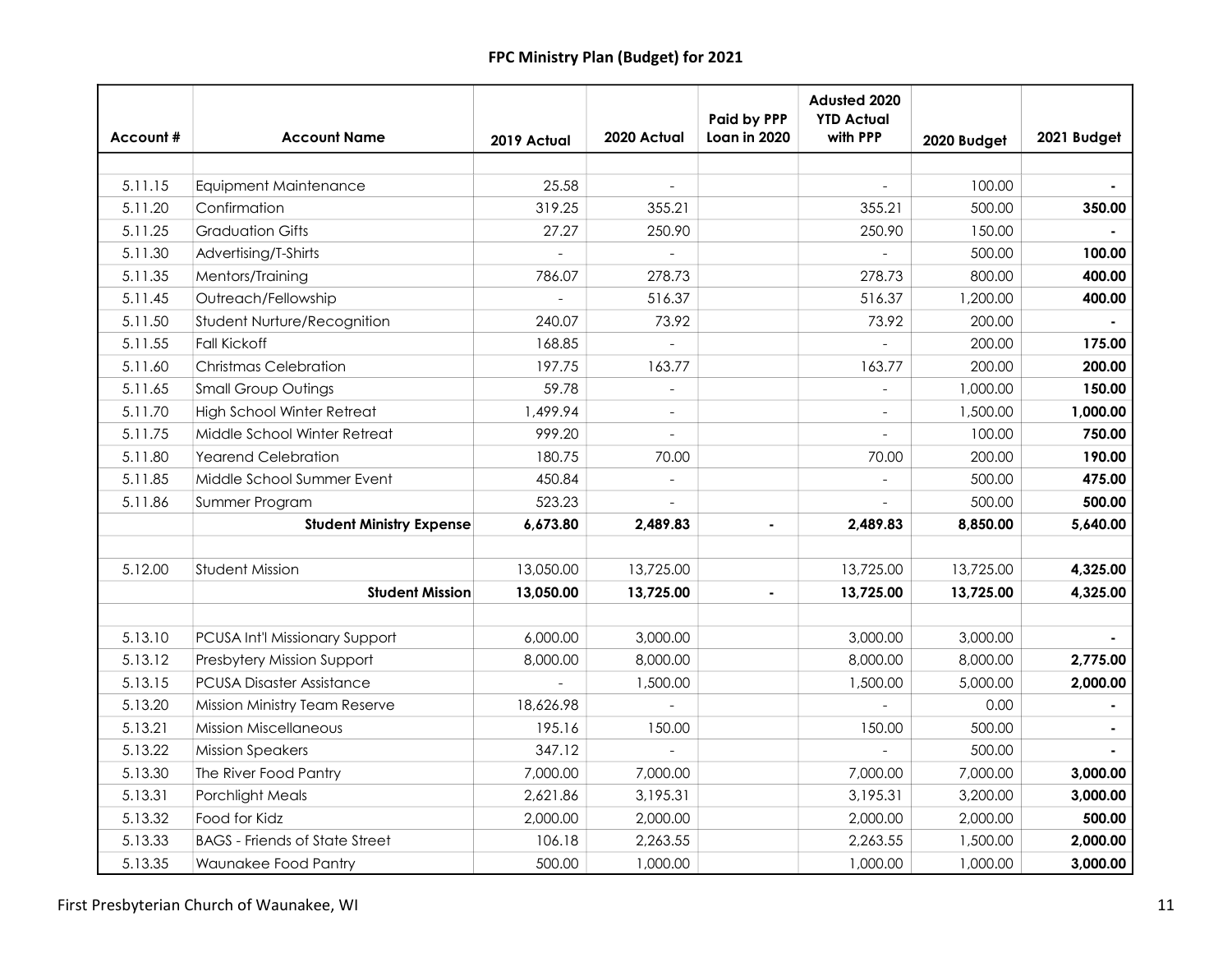| Account# | <b>Account Name</b>                   | 2019 Actual | 2020 Actual    | <b>Paid by PPP</b><br>Loan in 2020 | Adusted 2020<br><b>YTD Actual</b><br>with PPP | 2020 Budget | 2021 Budget |
|----------|---------------------------------------|-------------|----------------|------------------------------------|-----------------------------------------------|-------------|-------------|
|          |                                       |             |                |                                    |                                               |             |             |
| 5.11.15  | <b>Equipment Maintenance</b>          | 25.58       |                |                                    |                                               | 100.00      |             |
| 5.11.20  | Confirmation                          | 319.25      | 355.21         |                                    | 355.21                                        | 500.00      | 350.00      |
| 5.11.25  | <b>Graduation Gifts</b>               | 27.27       | 250.90         |                                    | 250.90                                        | 150.00      |             |
| 5.11.30  | Advertising/T-Shirts                  |             | $\overline{a}$ |                                    |                                               | 500.00      | 100.00      |
| 5.11.35  | Mentors/Training                      | 786.07      | 278.73         |                                    | 278.73                                        | 800.00      | 400.00      |
| 5.11.45  | Outreach/Fellowship                   |             | 516.37         |                                    | 516.37                                        | 1,200.00    | 400.00      |
| 5.11.50  | Student Nurture/Recognition           | 240.07      | 73.92          |                                    | 73.92                                         | 200.00      |             |
| 5.11.55  | <b>Fall Kickoff</b>                   | 168.85      | $\overline{a}$ |                                    |                                               | 200.00      | 175.00      |
| 5.11.60  | <b>Christmas Celebration</b>          | 197.75      | 163.77         |                                    | 163.77                                        | 200.00      | 200.00      |
| 5.11.65  | <b>Small Group Outings</b>            | 59.78       |                |                                    |                                               | 1,000.00    | 150.00      |
| 5.11.70  | <b>High School Winter Retreat</b>     | 1,499.94    |                |                                    |                                               | 1,500.00    | 1,000.00    |
| 5.11.75  | Middle School Winter Retreat          | 999.20      |                |                                    |                                               | 100.00      | 750.00      |
| 5.11.80  | <b>Yearend Celebration</b>            | 180.75      | 70.00          |                                    | 70.00                                         | 200.00      | 190.00      |
| 5.11.85  | Middle School Summer Event            | 450.84      |                |                                    |                                               | 500.00      | 475.00      |
| 5.11.86  | Summer Program                        | 523.23      |                |                                    |                                               | 500.00      | 500.00      |
|          | <b>Student Ministry Expense</b>       | 6,673.80    | 2.489.83       |                                    | 2,489.83                                      | 8,850.00    | 5,640.00    |
|          |                                       |             |                |                                    |                                               |             |             |
| 5.12.00  | Student Mission                       | 13,050.00   | 13,725.00      |                                    | 13,725.00                                     | 13,725.00   | 4,325.00    |
|          | <b>Student Mission</b>                | 13,050.00   | 13,725.00      |                                    | 13,725.00                                     | 13,725.00   | 4,325.00    |
|          |                                       |             |                |                                    |                                               |             |             |
| 5.13.10  | PCUSA Int'l Missionary Support        | 6,000.00    | 3,000.00       |                                    | 3,000.00                                      | 3,000.00    |             |
| 5.13.12  | Presbytery Mission Support            | 8,000.00    | 8,000.00       |                                    | 8,000.00                                      | 8,000.00    | 2,775.00    |
| 5.13.15  | <b>PCUSA Disaster Assistance</b>      |             | 1,500.00       |                                    | 1,500.00                                      | 5,000.00    | 2,000.00    |
| 5.13.20  | Mission Ministry Team Reserve         | 18,626.98   |                |                                    |                                               | 0.00        |             |
| 5.13.21  | <b>Mission Miscellaneous</b>          | 195.16      | 150.00         |                                    | 150.00                                        | 500.00      |             |
| 5.13.22  | <b>Mission Speakers</b>               | 347.12      |                |                                    |                                               | 500.00      |             |
| 5.13.30  | The River Food Pantry                 | 7,000.00    | 7,000.00       |                                    | 7,000.00                                      | 7,000.00    | 3,000.00    |
| 5.13.31  | <b>Porchlight Meals</b>               | 2,621.86    | 3,195.31       |                                    | 3,195.31                                      | 3,200.00    | 3,000.00    |
| 5.13.32  | Food for Kidz                         | 2,000.00    | 2,000.00       |                                    | 2,000.00                                      | 2,000.00    | 500.00      |
| 5.13.33  | <b>BAGS</b> - Friends of State Street | 106.18      | 2,263.55       |                                    | 2,263.55                                      | 1,500.00    | 2,000.00    |
| 5.13.35  | Waunakee Food Pantry                  | 500.00      | 1,000.00       |                                    | 1,000.00                                      | 1,000.00    | 3,000.00    |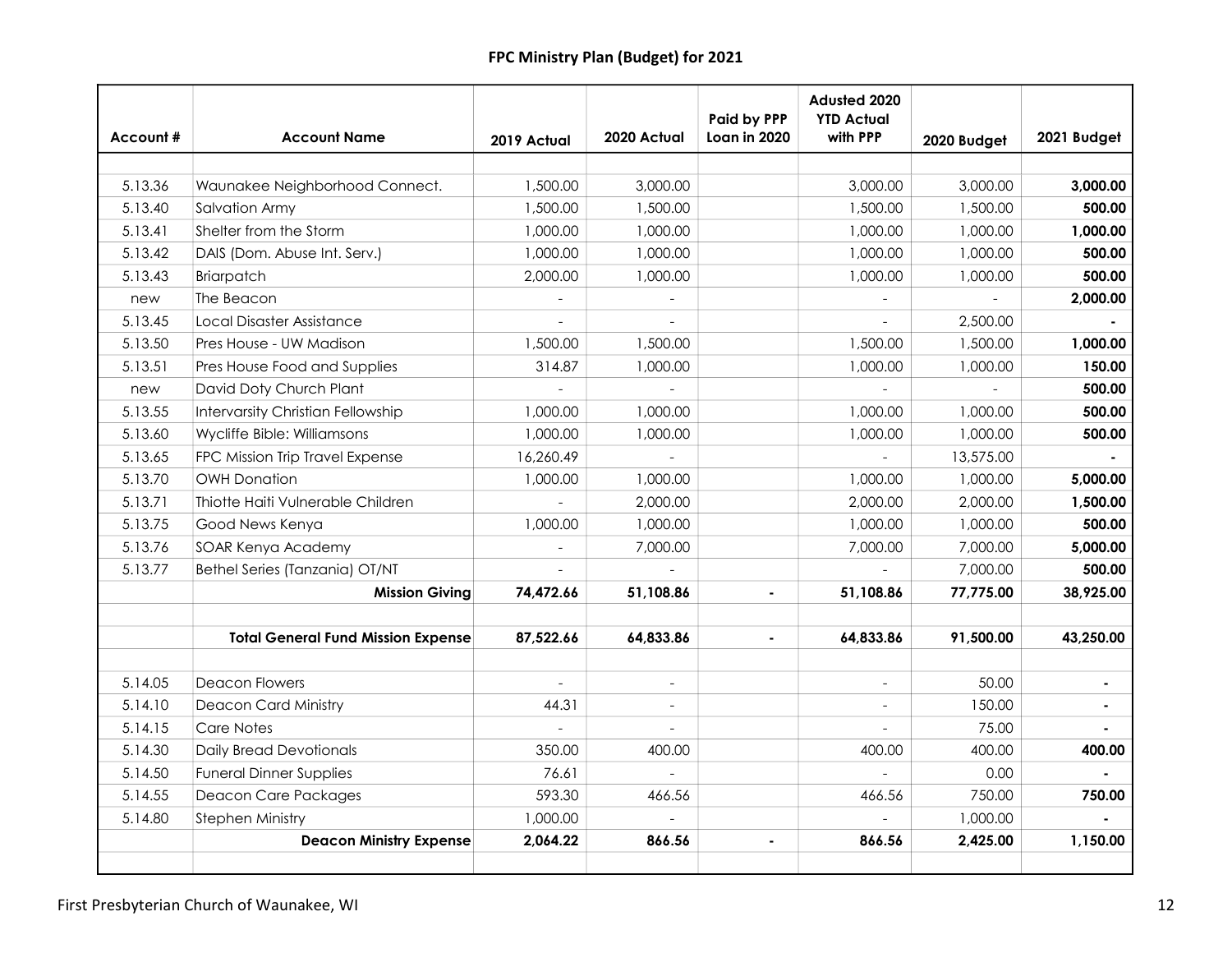| Account# | <b>Account Name</b>                       | 2019 Actual | 2020 Actual              | <b>Paid by PPP</b><br>Loan in 2020 | Adusted 2020<br><b>YTD Actual</b><br>with PPP | 2020 Budget | 2021 Budget |
|----------|-------------------------------------------|-------------|--------------------------|------------------------------------|-----------------------------------------------|-------------|-------------|
|          |                                           |             |                          |                                    |                                               |             |             |
| 5.13.36  | Waunakee Neighborhood Connect.            | 1,500.00    | 3,000.00                 |                                    | 3,000.00                                      | 3,000.00    | 3,000.00    |
| 5.13.40  | Salvation Army                            | 1,500.00    | 1,500.00                 |                                    | 1,500.00                                      | 1,500.00    | 500.00      |
| 5.13.41  | Shelter from the Storm                    | 1,000.00    | 1,000.00                 |                                    | 1,000.00                                      | 1,000.00    | 1,000.00    |
| 5.13.42  | DAIS (Dom. Abuse Int. Serv.)              | 1,000.00    | 1,000.00                 |                                    | 1,000.00                                      | 1,000.00    | 500.00      |
| 5.13.43  | Briarpatch                                | 2,000.00    | 1,000.00                 |                                    | 1,000.00                                      | 1,000.00    | 500.00      |
| new      | The Beacon                                |             | $\overline{a}$           |                                    |                                               |             | 2,000.00    |
| 5.13.45  | Local Disaster Assistance                 |             | $\overline{a}$           |                                    |                                               | 2,500.00    |             |
| 5.13.50  | Pres House - UW Madison                   | 1,500.00    | 1,500.00                 |                                    | 1,500.00                                      | 1,500.00    | 1,000.00    |
| 5.13.51  | Pres House Food and Supplies              | 314.87      | 1,000.00                 |                                    | 1,000.00                                      | 1,000.00    | 150.00      |
| new      | David Doty Church Plant                   |             |                          |                                    |                                               |             | 500.00      |
| 5.13.55  | <b>Intervarsity Christian Fellowship</b>  | 1,000.00    | 1,000.00                 |                                    | 1,000.00                                      | 1,000.00    | 500.00      |
| 5.13.60  | Wycliffe Bible: Williamsons               | 1,000.00    | 1,000.00                 |                                    | 1,000.00                                      | 1,000.00    | 500.00      |
| 5.13.65  | FPC Mission Trip Travel Expense           | 16,260.49   |                          |                                    |                                               | 13,575.00   |             |
| 5.13.70  | <b>OWH Donation</b>                       | 1,000.00    | 1,000.00                 |                                    | 1,000.00                                      | 1,000.00    | 5,000.00    |
| 5.13.71  | Thiotte Haiti Vulnerable Children         |             | 2,000.00                 |                                    | 2,000.00                                      | 2,000.00    | 1,500.00    |
| 5.13.75  | Good News Kenya                           | 1,000.00    | 1,000.00                 |                                    | 1,000.00                                      | 1,000.00    | 500.00      |
| 5.13.76  | SOAR Kenya Academy                        |             | 7,000.00                 |                                    | 7,000.00                                      | 7,000.00    | 5,000.00    |
| 5.13.77  | Bethel Series (Tanzania) OT/NT            |             |                          |                                    |                                               | 7,000.00    | 500.00      |
|          | <b>Mission Giving</b>                     | 74,472.66   | 51,108.86                |                                    | 51,108.86                                     | 77,775.00   | 38,925.00   |
|          | <b>Total General Fund Mission Expense</b> | 87,522.66   | 64,833.86                |                                    | 64,833.86                                     | 91,500.00   | 43,250.00   |
| 5.14.05  | <b>Deacon Flowers</b>                     |             | $\overline{\phantom{a}}$ |                                    |                                               | 50.00       |             |
| 5.14.10  | <b>Deacon Card Ministry</b>               | 44.31       | $\overline{\phantom{a}}$ |                                    |                                               | 150.00      |             |
| 5.14.15  | Care Notes                                |             |                          |                                    |                                               | 75.00       |             |
| 5.14.30  | <b>Daily Bread Devotionals</b>            | 350.00      | 400.00                   |                                    | 400.00                                        | 400.00      | 400.00      |
| 5.14.50  | <b>Funeral Dinner Supplies</b>            | 76.61       |                          |                                    |                                               | 0.00        |             |
| 5.14.55  | <b>Deacon Care Packages</b>               | 593.30      | 466.56                   |                                    | 466.56                                        | 750.00      | 750.00      |
| 5.14.80  | <b>Stephen Ministry</b>                   | 1,000.00    |                          |                                    |                                               | 1,000.00    |             |
|          | <b>Deacon Ministry Expense</b>            | 2,064.22    | 866.56                   |                                    | 866.56                                        | 2,425.00    | 1,150.00    |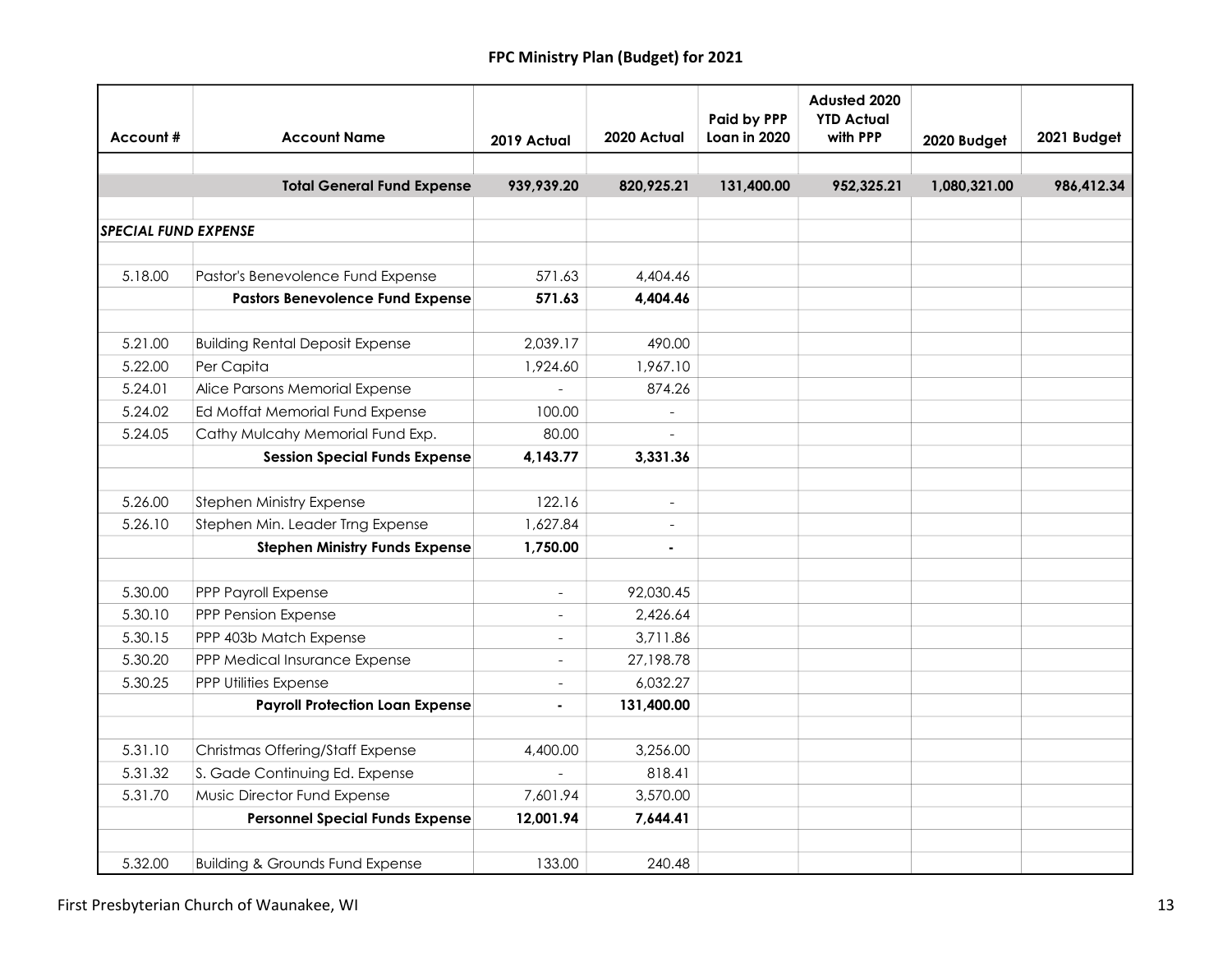| Account#                    | <b>Account Name</b>                        | 2019 Actual              | 2020 Actual              | Paid by PPP<br>Loan in 2020 | Adusted 2020<br><b>YTD Actual</b><br>with PPP | 2020 Budget  | 2021 Budget |
|-----------------------------|--------------------------------------------|--------------------------|--------------------------|-----------------------------|-----------------------------------------------|--------------|-------------|
|                             |                                            |                          |                          |                             |                                               |              |             |
|                             | <b>Total General Fund Expense</b>          | 939,939.20               | 820,925.21               | 131,400.00                  | 952,325.21                                    | 1,080,321.00 | 986,412.34  |
|                             |                                            |                          |                          |                             |                                               |              |             |
| <b>SPECIAL FUND EXPENSE</b> |                                            |                          |                          |                             |                                               |              |             |
|                             |                                            |                          |                          |                             |                                               |              |             |
| 5.18.00                     | Pastor's Benevolence Fund Expense          | 571.63                   | 4,404.46                 |                             |                                               |              |             |
|                             | <b>Pastors Benevolence Fund Expense</b>    | 571.63                   | 4,404.46                 |                             |                                               |              |             |
| 5.21.00                     | <b>Building Rental Deposit Expense</b>     | 2,039.17                 | 490.00                   |                             |                                               |              |             |
| 5.22.00                     | Per Capita                                 | 1,924.60                 | 1,967.10                 |                             |                                               |              |             |
| 5.24.01                     | Alice Parsons Memorial Expense             |                          | 874.26                   |                             |                                               |              |             |
| 5.24.02                     | Ed Moffat Memorial Fund Expense            | 100.00                   |                          |                             |                                               |              |             |
| 5.24.05                     | Cathy Mulcahy Memorial Fund Exp.           | 80.00                    |                          |                             |                                               |              |             |
|                             | <b>Session Special Funds Expense</b>       | 4,143.77                 | 3,331.36                 |                             |                                               |              |             |
|                             |                                            |                          |                          |                             |                                               |              |             |
| 5.26.00                     | Stephen Ministry Expense                   | 122.16                   |                          |                             |                                               |              |             |
| 5.26.10                     | Stephen Min. Leader Trng Expense           | 1,627.84                 | $\overline{\phantom{a}}$ |                             |                                               |              |             |
|                             | <b>Stephen Ministry Funds Expense</b>      | 1,750.00                 | $\blacksquare$           |                             |                                               |              |             |
|                             |                                            |                          |                          |                             |                                               |              |             |
| 5.30.00                     | PPP Payroll Expense                        | $\equiv$                 | 92,030.45                |                             |                                               |              |             |
| 5.30.10                     | PPP Pension Expense                        | $\overline{\phantom{a}}$ | 2.426.64                 |                             |                                               |              |             |
| 5.30.15                     | PPP 403b Match Expense                     | $\blacksquare$           | 3,711.86                 |                             |                                               |              |             |
| 5.30.20                     | PPP Medical Insurance Expense              | $\overline{a}$           | 27,198.78                |                             |                                               |              |             |
| 5.30.25                     | PPP Utilities Expense                      | $\blacksquare$           | 6,032.27                 |                             |                                               |              |             |
|                             | <b>Payroll Protection Loan Expense</b>     | ä,                       | 131,400.00               |                             |                                               |              |             |
|                             |                                            |                          |                          |                             |                                               |              |             |
| 5.31.10                     | Christmas Offering/Staff Expense           | 4,400.00                 | 3,256.00                 |                             |                                               |              |             |
| 5.31.32                     | S. Gade Continuing Ed. Expense             |                          | 818.41                   |                             |                                               |              |             |
| 5.31.70                     | Music Director Fund Expense                | 7,601.94                 | 3,570.00                 |                             |                                               |              |             |
|                             | <b>Personnel Special Funds Expense</b>     | 12,001.94                | 7,644.41                 |                             |                                               |              |             |
|                             |                                            |                          |                          |                             |                                               |              |             |
| 5.32.00                     | <b>Building &amp; Grounds Fund Expense</b> | 133.00                   | 240.48                   |                             |                                               |              |             |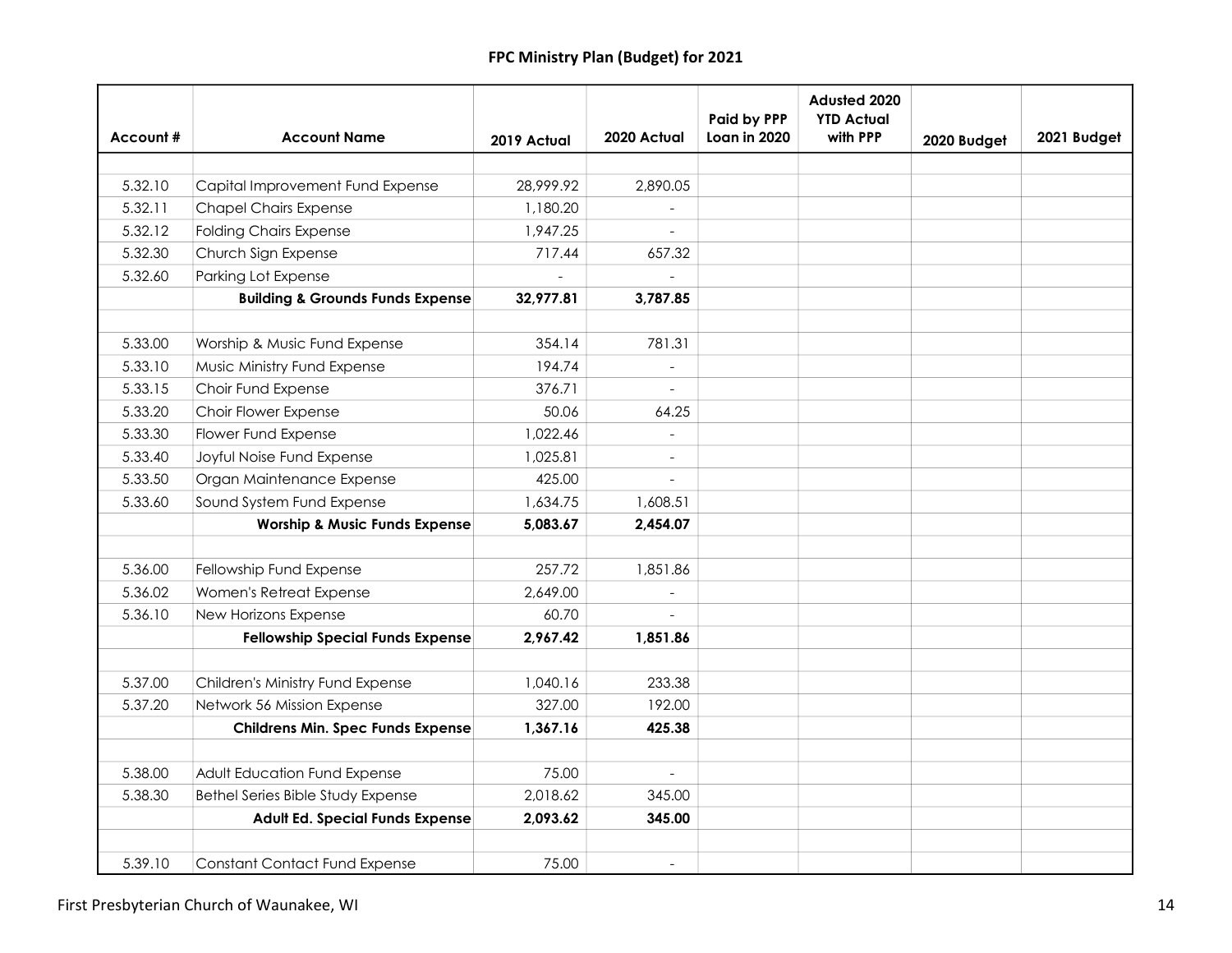| Account# | <b>Account Name</b>                         | 2019 Actual | 2020 Actual              | Paid by PPP<br>Loan in 2020 | Adusted 2020<br><b>YTD Actual</b><br>with PPP | 2020 Budget | 2021 Budget |
|----------|---------------------------------------------|-------------|--------------------------|-----------------------------|-----------------------------------------------|-------------|-------------|
|          |                                             |             |                          |                             |                                               |             |             |
| 5.32.10  | Capital Improvement Fund Expense            | 28,999.92   | 2,890.05                 |                             |                                               |             |             |
| 5.32.11  | <b>Chapel Chairs Expense</b>                | 1,180.20    |                          |                             |                                               |             |             |
| 5.32.12  | <b>Folding Chairs Expense</b>               | 1,947.25    |                          |                             |                                               |             |             |
| 5.32.30  | Church Sign Expense                         | 717.44      | 657.32                   |                             |                                               |             |             |
| 5.32.60  | Parking Lot Expense                         |             |                          |                             |                                               |             |             |
|          | <b>Building &amp; Grounds Funds Expense</b> | 32,977.81   | 3,787.85                 |                             |                                               |             |             |
|          |                                             |             |                          |                             |                                               |             |             |
| 5.33.00  | Worship & Music Fund Expense                | 354.14      | 781.31                   |                             |                                               |             |             |
| 5.33.10  | Music Ministry Fund Expense                 | 194.74      |                          |                             |                                               |             |             |
| 5.33.15  | Choir Fund Expense                          | 376.71      |                          |                             |                                               |             |             |
| 5.33.20  | Choir Flower Expense                        | 50.06       | 64.25                    |                             |                                               |             |             |
| 5.33.30  | Flower Fund Expense                         | 1,022.46    |                          |                             |                                               |             |             |
| 5.33.40  | Joyful Noise Fund Expense                   | 1,025.81    | $\overline{\phantom{a}}$ |                             |                                               |             |             |
| 5.33.50  | Organ Maintenance Expense                   | 425.00      |                          |                             |                                               |             |             |
| 5.33.60  | Sound System Fund Expense                   | 1,634.75    | 1,608.51                 |                             |                                               |             |             |
|          | <b>Worship &amp; Music Funds Expense</b>    | 5,083.67    | 2,454.07                 |                             |                                               |             |             |
|          |                                             |             |                          |                             |                                               |             |             |
| 5.36.00  | Fellowship Fund Expense                     | 257.72      | 1,851.86                 |                             |                                               |             |             |
| 5.36.02  | Women's Retreat Expense                     | 2,649.00    |                          |                             |                                               |             |             |
| 5.36.10  | New Horizons Expense                        | 60.70       | $\bar{\phantom{a}}$      |                             |                                               |             |             |
|          | <b>Fellowship Special Funds Expense</b>     | 2,967.42    | 1,851.86                 |                             |                                               |             |             |
|          |                                             |             |                          |                             |                                               |             |             |
| 5.37.00  | Children's Ministry Fund Expense            | 1,040.16    | 233.38                   |                             |                                               |             |             |
| 5.37.20  | Network 56 Mission Expense                  | 327.00      | 192.00                   |                             |                                               |             |             |
|          | <b>Childrens Min. Spec Funds Expense</b>    | 1,367.16    | 425.38                   |                             |                                               |             |             |
| 5.38.00  | Adult Education Fund Expense                | 75.00       | $\Box$                   |                             |                                               |             |             |
| 5.38.30  | Bethel Series Bible Study Expense           | 2,018.62    | 345.00                   |                             |                                               |             |             |
|          | Adult Ed. Special Funds Expense             | 2,093.62    | 345.00                   |                             |                                               |             |             |
|          |                                             |             |                          |                             |                                               |             |             |
| 5.39.10  | <b>Constant Contact Fund Expense</b>        | 75.00       |                          |                             |                                               |             |             |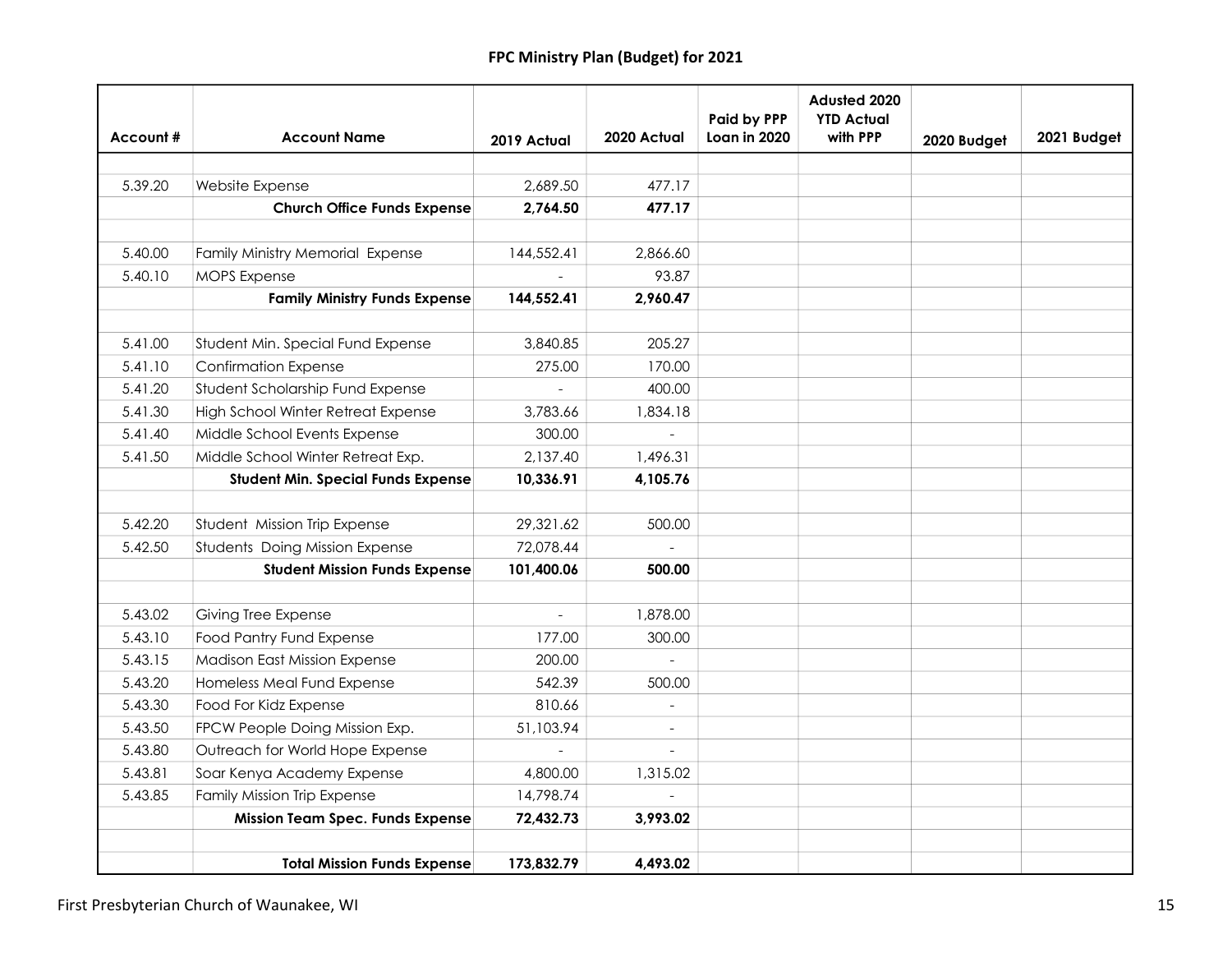|          |                                           |                          |                | <b>Paid by PPP</b> | Adusted 2020<br><b>YTD Actual</b> |             |             |
|----------|-------------------------------------------|--------------------------|----------------|--------------------|-----------------------------------|-------------|-------------|
| Account# | <b>Account Name</b>                       | 2019 Actual              | 2020 Actual    | Loan in 2020       | with PPP                          | 2020 Budget | 2021 Budget |
|          |                                           |                          |                |                    |                                   |             |             |
| 5.39.20  | Website Expense                           | 2,689.50                 | 477.17         |                    |                                   |             |             |
|          | <b>Church Office Funds Expense</b>        | 2,764.50                 | 477.17         |                    |                                   |             |             |
|          |                                           |                          |                |                    |                                   |             |             |
| 5.40.00  | Family Ministry Memorial Expense          | 144,552.41               | 2,866.60       |                    |                                   |             |             |
| 5.40.10  | <b>MOPS Expense</b>                       |                          | 93.87          |                    |                                   |             |             |
|          | <b>Family Ministry Funds Expense</b>      | 144,552.41               | 2,960.47       |                    |                                   |             |             |
|          |                                           |                          |                |                    |                                   |             |             |
| 5.41.00  | Student Min. Special Fund Expense         | 3,840.85                 | 205.27         |                    |                                   |             |             |
| 5.41.10  | <b>Confirmation Expense</b>               | 275.00                   | 170.00         |                    |                                   |             |             |
| 5.41.20  | Student Scholarship Fund Expense          |                          | 400.00         |                    |                                   |             |             |
| 5.41.30  | High School Winter Retreat Expense        | 3,783.66                 | 1,834.18       |                    |                                   |             |             |
| 5.41.40  | Middle School Events Expense              | 300.00                   |                |                    |                                   |             |             |
| 5.41.50  | Middle School Winter Retreat Exp.         | 2,137.40                 | 1,496.31       |                    |                                   |             |             |
|          | <b>Student Min. Special Funds Expense</b> | 10,336.91                | 4,105.76       |                    |                                   |             |             |
| 5.42.20  | Student Mission Trip Expense              | 29,321.62                | 500.00         |                    |                                   |             |             |
| 5.42.50  | Students Doing Mission Expense            | 72,078.44                |                |                    |                                   |             |             |
|          | <b>Student Mission Funds Expense</b>      | 101,400.06               | 500.00         |                    |                                   |             |             |
|          |                                           |                          |                |                    |                                   |             |             |
| 5.43.02  | Giving Tree Expense                       | $\overline{\phantom{a}}$ | 1,878.00       |                    |                                   |             |             |
| 5.43.10  | <b>Food Pantry Fund Expense</b>           | 177.00                   | 300.00         |                    |                                   |             |             |
| 5.43.15  | <b>Madison East Mission Expense</b>       | 200.00                   | $\overline{a}$ |                    |                                   |             |             |
| 5.43.20  | Homeless Meal Fund Expense                | 542.39                   | 500.00         |                    |                                   |             |             |
| 5.43.30  | Food For Kidz Expense                     | 810.66                   |                |                    |                                   |             |             |
| 5.43.50  | FPCW People Doing Mission Exp.            | 51,103.94                |                |                    |                                   |             |             |
| 5.43.80  | Outreach for World Hope Expense           |                          |                |                    |                                   |             |             |
| 5.43.81  | Soar Kenya Academy Expense                | 4,800.00                 | 1,315.02       |                    |                                   |             |             |
| 5.43.85  | <b>Family Mission Trip Expense</b>        | 14,798.74                |                |                    |                                   |             |             |
|          | <b>Mission Team Spec. Funds Expense</b>   | 72,432.73                | 3,993.02       |                    |                                   |             |             |
|          |                                           |                          |                |                    |                                   |             |             |
|          | <b>Total Mission Funds Expense</b>        | 173,832.79               | 4,493.02       |                    |                                   |             |             |